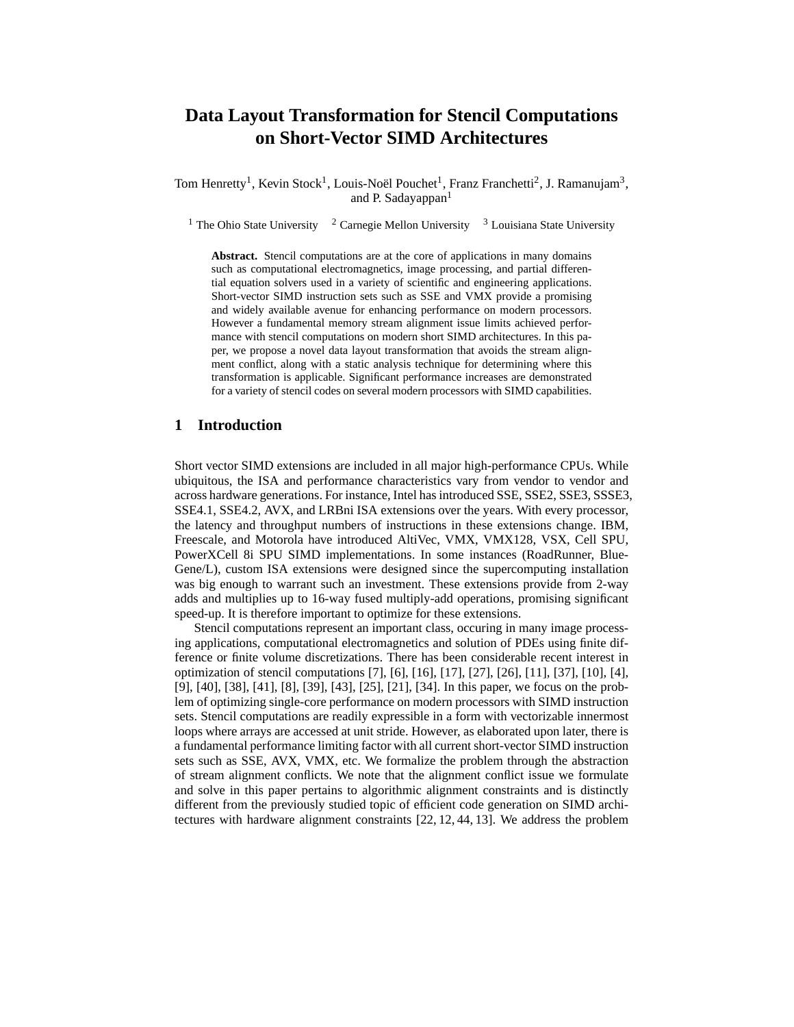# **Data Layout Transformation for Stencil Computations on Short-Vector SIMD Architectures**

Tom Henretty<sup>1</sup>, Kevin Stock<sup>1</sup>, Louis-Noël Pouchet<sup>1</sup>, Franz Franchetti<sup>2</sup>, J. Ramanujam<sup>3</sup>, and P. Sadayappan<sup>1</sup>

<sup>1</sup> The Ohio State University <sup>2</sup> Carnegie Mellon University <sup>3</sup> Louisiana State University

**Abstract.** Stencil computations are at the core of applications in many domains such as computational electromagnetics, image processing, and partial differential equation solvers used in a variety of scientific and engineering applications. Short-vector SIMD instruction sets such as SSE and VMX provide a promising and widely available avenue for enhancing performance on modern processors. However a fundamental memory stream alignment issue limits achieved performance with stencil computations on modern short SIMD architectures. In this paper, we propose a novel data layout transformation that avoids the stream alignment conflict, along with a static analysis technique for determining where this transformation is applicable. Significant performance increases are demonstrated for a variety of stencil codes on several modern processors with SIMD capabilities.

# **1 Introduction**

Short vector SIMD extensions are included in all major high-performance CPUs. While ubiquitous, the ISA and performance characteristics vary from vendor to vendor and across hardware generations. For instance, Intel has introduced SSE, SSE2, SSE3, SSSE3, SSE4.1, SSE4.2, AVX, and LRBni ISA extensions over the years. With every processor, the latency and throughput numbers of instructions in these extensions change. IBM, Freescale, and Motorola have introduced AltiVec, VMX, VMX128, VSX, Cell SPU, PowerXCell 8i SPU SIMD implementations. In some instances (RoadRunner, Blue-Gene/L), custom ISA extensions were designed since the supercomputing installation was big enough to warrant such an investment. These extensions provide from 2-way adds and multiplies up to 16-way fused multiply-add operations, promising significant speed-up. It is therefore important to optimize for these extensions.

Stencil computations represent an important class, occuring in many image processing applications, computational electromagnetics and solution of PDEs using finite difference or finite volume discretizations. There has been considerable recent interest in optimization of stencil computations [7], [6], [16], [17], [27], [26], [11], [37], [10], [4], [9], [40], [38], [41], [8], [39], [43], [25], [21], [34]. In this paper, we focus on the problem of optimizing single-core performance on modern processors with SIMD instruction sets. Stencil computations are readily expressible in a form with vectorizable innermost loops where arrays are accessed at unit stride. However, as elaborated upon later, there is a fundamental performance limiting factor with all current short-vector SIMD instruction sets such as SSE, AVX, VMX, etc. We formalize the problem through the abstraction of stream alignment conflicts. We note that the alignment conflict issue we formulate and solve in this paper pertains to algorithmic alignment constraints and is distinctly different from the previously studied topic of efficient code generation on SIMD architectures with hardware alignment constraints [22, 12, 44, 13]. We address the problem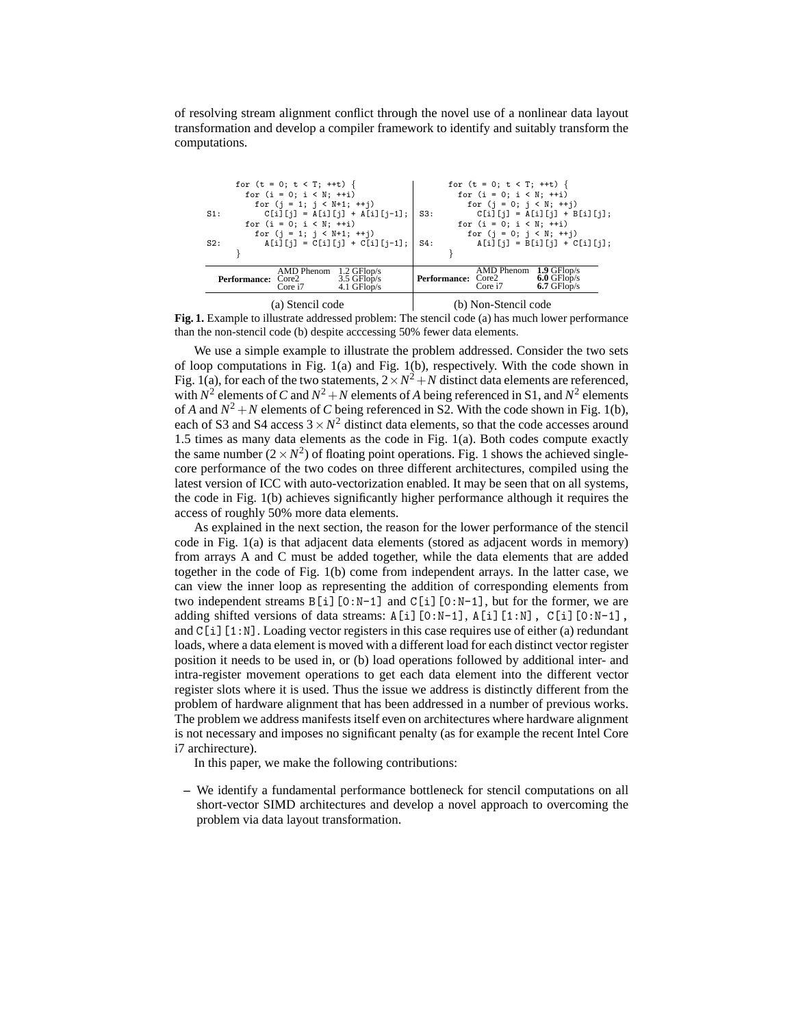of resolving stream alignment conflict through the novel use of a nonlinear data layout transformation and develop a compiler framework to identify and suitably transform the computations.

| for $(t = 0; t < T; ++t)$ {                                                                                              | for $(t = 0; t < T; ++t)$ {                                                                                                   |  |  |  |  |  |  |
|--------------------------------------------------------------------------------------------------------------------------|-------------------------------------------------------------------------------------------------------------------------------|--|--|--|--|--|--|
| for $(i = 0; i < N; ++i)$                                                                                                | for $(i = 0; i < N; ++i)$                                                                                                     |  |  |  |  |  |  |
| for $(j = 1; j < N+1; ++j)$                                                                                              | for $(i = 0; i < N; ++i)$                                                                                                     |  |  |  |  |  |  |
| $C[i][j] = A[i][j] + A[i][j-1];$                                                                                         | $C[i][j] = A[i][j] + B[i][j];$                                                                                                |  |  |  |  |  |  |
| S1:                                                                                                                      | S3:                                                                                                                           |  |  |  |  |  |  |
| for $(i = 0; i < N; ++i)$                                                                                                | for $(i = 0; i < N; ++i)$                                                                                                     |  |  |  |  |  |  |
| for $(j = 1; j < N+1; ++j)$                                                                                              | for $(i = 0; j < N; ++j)$                                                                                                     |  |  |  |  |  |  |
| $A[i][j] = C[i][j] + C[i][j-1];$                                                                                         | $A[i][j] = B[i][j] + C[i][j];$                                                                                                |  |  |  |  |  |  |
| S2:                                                                                                                      | S4:                                                                                                                           |  |  |  |  |  |  |
| $AMD Phenom$ 1.2 $GFlop/s$<br>$3.5$ GFlop/s<br><b>Performance:</b> Core2<br>$4.1$ GFlop/s<br>Core i7<br>(a) Stencil code | $1.9$ GFlop/s<br>AMD Phenom<br>$6.0$ GFlop/s<br><b>Performance:</b> Core2<br>$6.7$ GFlop/s<br>Core i7<br>(b) Non-Stencil code |  |  |  |  |  |  |

**Fig. 1.** Example to illustrate addressed problem: The stencil code (a) has much lower performance than the non-stencil code (b) despite acccessing 50% fewer data elements.

We use a simple example to illustrate the problem addressed. Consider the two sets of loop computations in Fig. 1(a) and Fig. 1(b), respectively. With the code shown in Fig. 1(a), for each of the two statements,  $2 \times N^2 + N$  distinct data elements are referenced, with  $N^2$  elements of C and  $N^2 + N$  elements of A being referenced in S1, and  $N^2$  elements of *A* and  $N^2 + N$  elements of *C* being referenced in S2. With the code shown in Fig. 1(b), each of S3 and S4 access  $3 \times N^2$  distinct data elements, so that the code accesses around 1.5 times as many data elements as the code in Fig. 1(a). Both codes compute exactly the same number  $(2 \times N^2)$  of floating point operations. Fig. 1 shows the achieved singlecore performance of the two codes on three different architectures, compiled using the latest version of ICC with auto-vectorization enabled. It may be seen that on all systems, the code in Fig. 1(b) achieves significantly higher performance although it requires the access of roughly 50% more data elements.

As explained in the next section, the reason for the lower performance of the stencil code in Fig. 1(a) is that adjacent data elements (stored as adjacent words in memory) from arrays A and C must be added together, while the data elements that are added together in the code of Fig. 1(b) come from independent arrays. In the latter case, we can view the inner loop as representing the addition of corresponding elements from two independent streams  $B[i]$  [0:N-1] and C[i][0:N-1], but for the former, we are adding shifted versions of data streams:  $A[i][0:N-1]$ ,  $A[i][1:N]$ ,  $C[i][0:N-1]$ , and  $C[i][1:N]$ . Loading vector registers in this case requires use of either (a) redundant loads, where a data element is moved with a different load for each distinct vector register position it needs to be used in, or (b) load operations followed by additional inter- and intra-register movement operations to get each data element into the different vector register slots where it is used. Thus the issue we address is distinctly different from the problem of hardware alignment that has been addressed in a number of previous works. The problem we address manifests itself even on architectures where hardware alignment is not necessary and imposes no significant penalty (as for example the recent Intel Core i7 archirecture).

In this paper, we make the following contributions:

**–** We identify a fundamental performance bottleneck for stencil computations on all short-vector SIMD architectures and develop a novel approach to overcoming the problem via data layout transformation.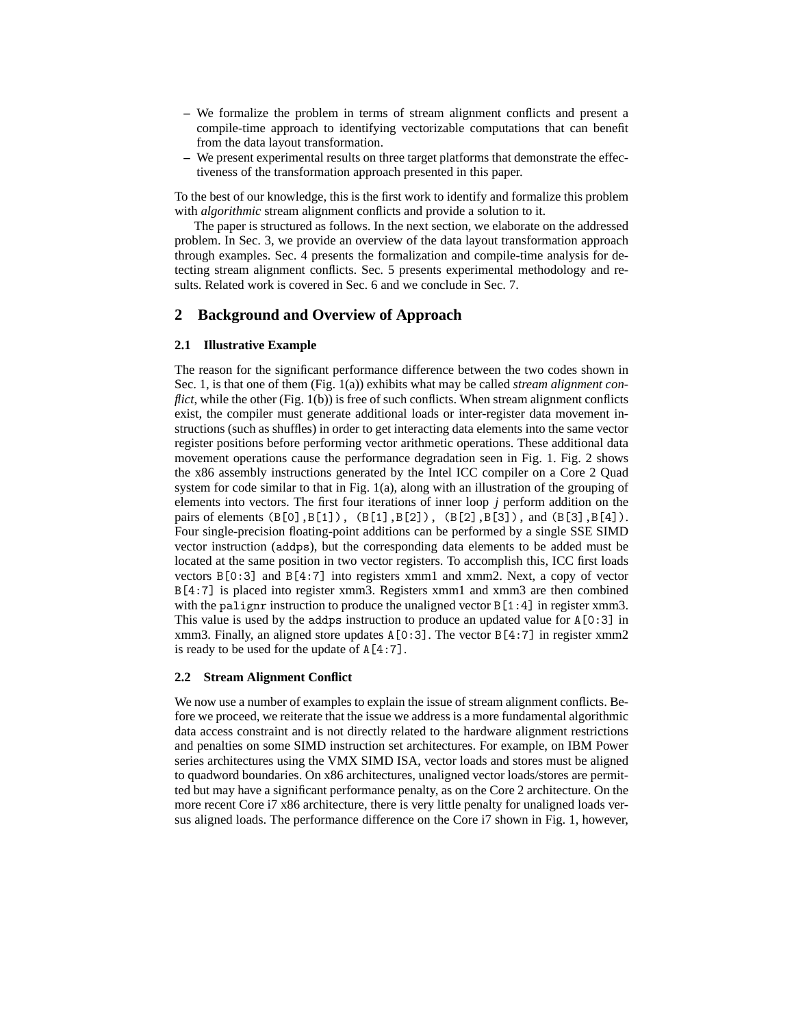- **–** We formalize the problem in terms of stream alignment conflicts and present a compile-time approach to identifying vectorizable computations that can benefit from the data layout transformation.
- **–** We present experimental results on three target platforms that demonstrate the effectiveness of the transformation approach presented in this paper.

To the best of our knowledge, this is the first work to identify and formalize this problem with *algorithmic* stream alignment conflicts and provide a solution to it.

The paper is structured as follows. In the next section, we elaborate on the addressed problem. In Sec. 3, we provide an overview of the data layout transformation approach through examples. Sec. 4 presents the formalization and compile-time analysis for detecting stream alignment conflicts. Sec. 5 presents experimental methodology and results. Related work is covered in Sec. 6 and we conclude in Sec. 7.

# **2 Background and Overview of Approach**

## **2.1 Illustrative Example**

The reason for the significant performance difference between the two codes shown in Sec. 1, is that one of them (Fig. 1(a)) exhibits what may be called *stream alignment conflict*, while the other (Fig. 1(b)) is free of such conflicts. When stream alignment conflicts exist, the compiler must generate additional loads or inter-register data movement instructions (such as shuffles) in order to get interacting data elements into the same vector register positions before performing vector arithmetic operations. These additional data movement operations cause the performance degradation seen in Fig. 1. Fig. 2 shows the x86 assembly instructions generated by the Intel ICC compiler on a Core 2 Quad system for code similar to that in Fig. 1(a), along with an illustration of the grouping of elements into vectors. The first four iterations of inner loop *j* perform addition on the pairs of elements (B[0], B[1]), (B[1], B[2]), (B[2], B[3]), and (B[3], B[4]). Four single-precision floating-point additions can be performed by a single SSE SIMD vector instruction (addps), but the corresponding data elements to be added must be located at the same position in two vector registers. To accomplish this, ICC first loads vectors B[0:3] and B[4:7] into registers xmm1 and xmm2. Next, a copy of vector B[4:7] is placed into register xmm3. Registers xmm1 and xmm3 are then combined with the palignr instruction to produce the unaligned vector  $B[1:4]$  in register xmm3. This value is used by the addps instruction to produce an updated value for  $A[0:3]$  in xmm3. Finally, an aligned store updates  $A[0:3]$ . The vector  $B[4:7]$  in register xmm2 is ready to be used for the update of A[4:7].

#### **2.2 Stream Alignment Conflict**

We now use a number of examples to explain the issue of stream alignment conflicts. Before we proceed, we reiterate that the issue we address is a more fundamental algorithmic data access constraint and is not directly related to the hardware alignment restrictions and penalties on some SIMD instruction set architectures. For example, on IBM Power series architectures using the VMX SIMD ISA, vector loads and stores must be aligned to quadword boundaries. On x86 architectures, unaligned vector loads/stores are permitted but may have a significant performance penalty, as on the Core 2 architecture. On the more recent Core i7 x86 architecture, there is very little penalty for unaligned loads versus aligned loads. The performance difference on the Core i7 shown in Fig. 1, however,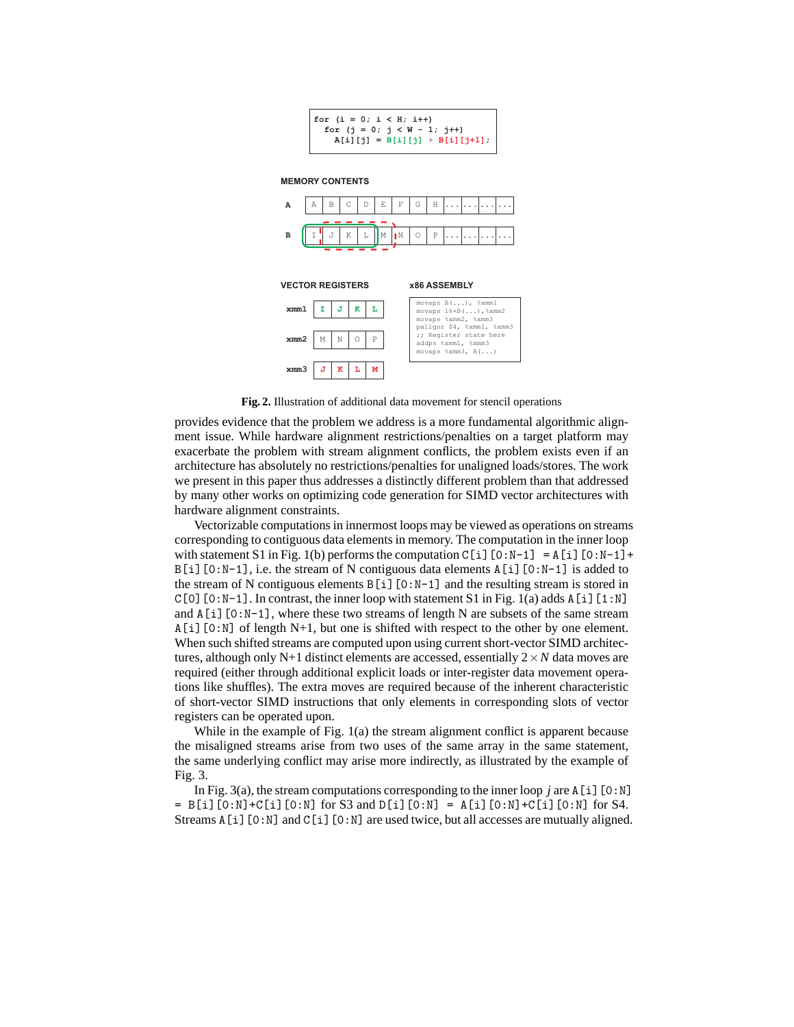

**Fig. 2.** Illustration of additional data movement for stencil operations

provides evidence that the problem we address is a more fundamental algorithmic alignment issue. While hardware alignment restrictions/penalties on a target platform may exacerbate the problem with stream alignment conflicts, the problem exists even if an architecture has absolutely no restrictions/penalties for unaligned loads/stores. The work we present in this paper thus addresses a distinctly different problem than that addressed by many other works on optimizing code generation for SIMD vector architectures with hardware alignment constraints.

Vectorizable computations in innermost loops may be viewed as operations on streams corresponding to contiguous data elements in memory. The computation in the inner loop with statement S1 in Fig. 1(b) performs the computation C[i][0:N-1] = A[i][0:N-1]+ B[i][0:N-1], i.e. the stream of N contiguous data elements A[i][0:N-1] is added to the stream of N contiguous elements  $B[i]$  [0:N-1] and the resulting stream is stored in  $C[0]$  [0:N-1]. In contrast, the inner loop with statement S1 in Fig. 1(a) adds A[i][1:N] and  $A[i]$ [0:N-1], where these two streams of length N are subsets of the same stream  $A[i][0:N]$  of length N+1, but one is shifted with respect to the other by one element. When such shifted streams are computed upon using current short-vector SIMD architectures, although only N+1 distinct elements are accessed, essentially  $2 \times N$  data moves are required (either through additional explicit loads or inter-register data movement operations like shuffles). The extra moves are required because of the inherent characteristic of short-vector SIMD instructions that only elements in corresponding slots of vector registers can be operated upon.

While in the example of Fig. 1(a) the stream alignment conflict is apparent because the misaligned streams arise from two uses of the same array in the same statement, the same underlying conflict may arise more indirectly, as illustrated by the example of Fig. 3.

In Fig. 3(a), the stream computations corresponding to the inner loop *j* are A[i][0:N]  $= B[i][0:N]+C[i][0:N]$  for S3 and  $D[i][0:N] = A[i][0:N]+C[i][0:N]$  for S4. Streams  $A[i][0:N]$  and  $C[i][0:N]$  are used twice, but all accesses are mutually aligned.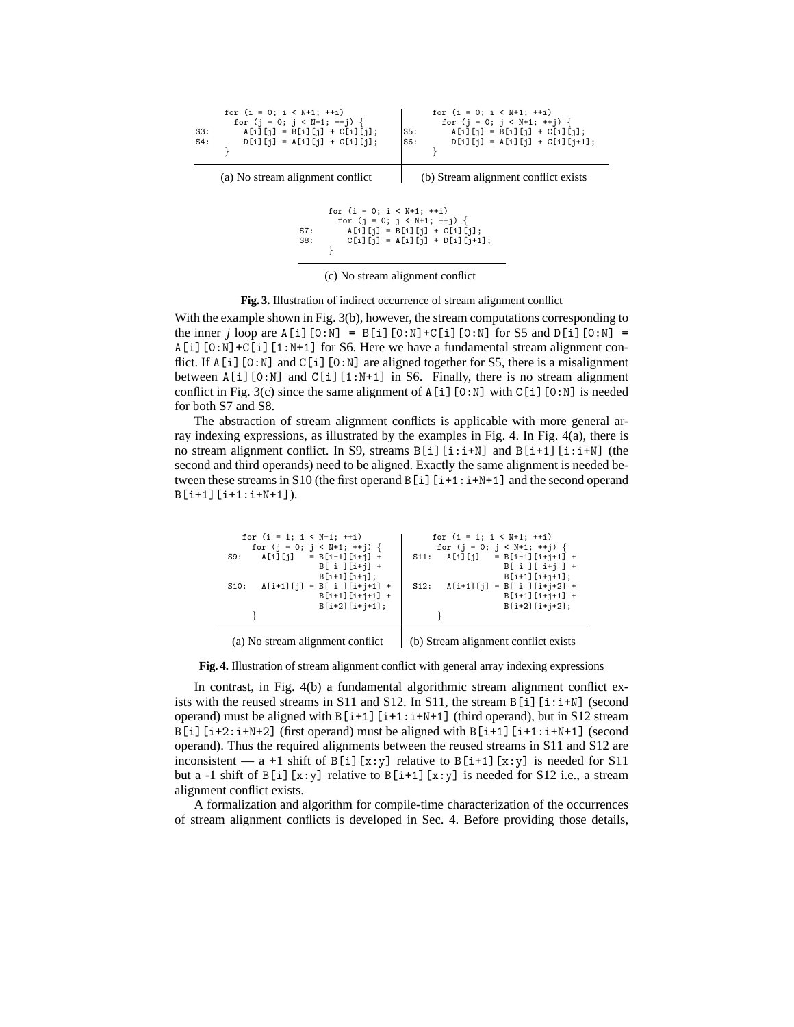| S3:<br>S4:                                                                                                                                       | for $(i = 0; i < N+1; ++i)$<br>for $(i = 0; i < N+1; ++i)$ {<br>$A[i][j] = B[i][j] + C[i][j];$<br>$D[i][j] = A[i][j] + C[i][j];$ | for $(i = 0: i < N+1: ++i)$<br>for $(j = 0; j < N+1; ++j)$ {<br>$A[i][j] = B[i][j] + C[i][j];$<br>S5:<br>$D[i][j] = A[i][j] + C[i][j+1];$<br>S6: |  |  |  |  |  |  |
|--------------------------------------------------------------------------------------------------------------------------------------------------|----------------------------------------------------------------------------------------------------------------------------------|--------------------------------------------------------------------------------------------------------------------------------------------------|--|--|--|--|--|--|
|                                                                                                                                                  | (a) No stream alignment conflict                                                                                                 | (b) Stream alignment conflict exists                                                                                                             |  |  |  |  |  |  |
| for $(i = 0; i < N+1; ++i)$<br>for $(j = 0; j < N+1; ++j)$ {<br>$A[i][j] = B[i][j] + C[i][j];$<br>S7:<br>$C[i][j] = A[i][j] + D[i][j+1];$<br>S8: |                                                                                                                                  |                                                                                                                                                  |  |  |  |  |  |  |

(c) No stream alignment conflict

**Fig. 3.** Illustration of indirect occurrence of stream alignment conflict

With the example shown in Fig. 3(b), however, the stream computations corresponding to the inner *j* loop are  $A[i][0:N] = B[i][0:N]+C[i][0:N]$  for S5 and  $D[i][0:N] =$  $A[i][0:N]+C[i][1:N+1]$  for S6. Here we have a fundamental stream alignment conflict. If  $A[i][0:N]$  and  $C[i][0:N]$  are aligned together for S5, there is a misalignment between  $A[i][0:N]$  and  $C[i][1:N+1]$  in S6. Finally, there is no stream alignment conflict in Fig. 3(c) since the same alignment of  $A[i][0:N]$  with  $C[i][0:N]$  is needed for both S7 and S8.

The abstraction of stream alignment conflicts is applicable with more general array indexing expressions, as illustrated by the examples in Fig. 4. In Fig. 4(a), there is no stream alignment conflict. In S9, streams  $B[i][i:i+N]$  and  $B[i+1][i:i+N]$  (the second and third operands) need to be aligned. Exactly the same alignment is needed between these streams in S10 (the first operand  $B[i]$ [i+1:i+N+1] and the second operand  $B[i+1][i+1:i+N+1]$ ).

| for $(i = 1; i < N+1; ++i)$      | for $(i = 1; i < N+1; ++i)$          |  |  |  |  |  |
|----------------------------------|--------------------------------------|--|--|--|--|--|
| for $(i = 0; j < N+1; ++j)$ {    | for $(j = 0; j < N+1; ++j)$ {        |  |  |  |  |  |
| $A[i][i] = B[i-1][i+i] +$        | $A[i][j] = B[i-1][i+j+1] +$          |  |  |  |  |  |
| S9:                              | S11:                                 |  |  |  |  |  |
| $B[i] [i+i] +$                   | $B[i] [i+j] +$                       |  |  |  |  |  |
| $B[i+1][i+j];$                   | $B[i+1][i+j+1];$                     |  |  |  |  |  |
| $A[i+1][j] = B[i][i+j+1] +$      | $A[i+1][i] = B[i][i+i+2] +$          |  |  |  |  |  |
| S10:                             | S12:                                 |  |  |  |  |  |
| $B[i+1][i+j+1]$ +                | $B[i+1][i+j+1]$ +                    |  |  |  |  |  |
| $B[i+2][i+i+1];$                 | $B[i+2][i+i+2];$                     |  |  |  |  |  |
| (a) No stream alignment conflict | (b) Stream alignment conflict exists |  |  |  |  |  |

**Fig. 4.** Illustration of stream alignment conflict with general array indexing expressions

In contrast, in Fig. 4(b) a fundamental algorithmic stream alignment conflict exists with the reused streams in S11 and S12. In S11, the stream  $B[i][i:i+N]$  (second operand) must be aligned with  $B[i+1][i+1:i+N+1]$  (third operand), but in S12 stream  $B[i]$ [i+2:i+N+2] (first operand) must be aligned with  $B[i+1]$ [i+1:i+N+1] (second operand). Thus the required alignments between the reused streams in S11 and S12 are inconsistent — a +1 shift of B[i][x:y] relative to B[i+1][x:y] is needed for S11 but a -1 shift of  $B[i][x:y]$  relative to  $B[i+1][x:y]$  is needed for S12 i.e., a stream alignment conflict exists.

A formalization and algorithm for compile-time characterization of the occurrences of stream alignment conflicts is developed in Sec. 4. Before providing those details,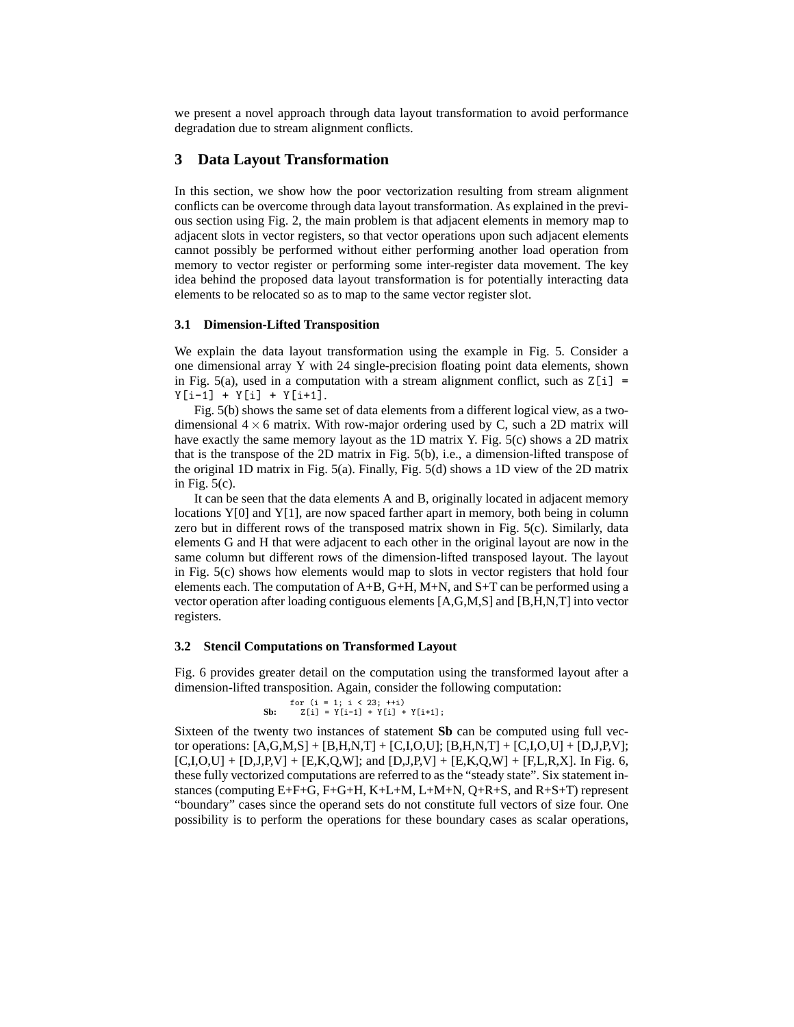we present a novel approach through data layout transformation to avoid performance degradation due to stream alignment conflicts.

# **3 Data Layout Transformation**

In this section, we show how the poor vectorization resulting from stream alignment conflicts can be overcome through data layout transformation. As explained in the previous section using Fig. 2, the main problem is that adjacent elements in memory map to adjacent slots in vector registers, so that vector operations upon such adjacent elements cannot possibly be performed without either performing another load operation from memory to vector register or performing some inter-register data movement. The key idea behind the proposed data layout transformation is for potentially interacting data elements to be relocated so as to map to the same vector register slot.

#### **3.1 Dimension-Lifted Transposition**

We explain the data layout transformation using the example in Fig. 5. Consider a one dimensional array Y with 24 single-precision floating point data elements, shown in Fig. 5(a), used in a computation with a stream alignment conflict, such as  $Z[i]$  =  $Y[i-1] + Y[i] + Y[i+1].$ 

Fig. 5(b) shows the same set of data elements from a different logical view, as a twodimensional  $4 \times 6$  matrix. With row-major ordering used by C, such a 2D matrix will have exactly the same memory layout as the 1D matrix Y. Fig. 5(c) shows a 2D matrix that is the transpose of the 2D matrix in Fig. 5(b), i.e., a dimension-lifted transpose of the original 1D matrix in Fig. 5(a). Finally, Fig. 5(d) shows a 1D view of the 2D matrix in Fig.  $5(c)$ .

It can be seen that the data elements A and B, originally located in adjacent memory locations Y[0] and Y[1], are now spaced farther apart in memory, both being in column zero but in different rows of the transposed matrix shown in Fig. 5(c). Similarly, data elements G and H that were adjacent to each other in the original layout are now in the same column but different rows of the dimension-lifted transposed layout. The layout in Fig. 5(c) shows how elements would map to slots in vector registers that hold four elements each. The computation of A+B, G+H, M+N, and S+T can be performed using a vector operation after loading contiguous elements [A,G,M,S] and [B,H,N,T] into vector registers.

#### **3.2 Stencil Computations on Transformed Layout**

Fig. 6 provides greater detail on the computation using the transformed layout after a dimension-lifted transposition. Again, consider the following computation:

for (i = 1; i < 23; ++i)  
\nSb: 
$$
Z[i] = Y[i-1] + Y[i] + Y[i+1];
$$

Sixteen of the twenty two instances of statement **Sb** can be computed using full vector operations:  $[A,G,M,S] + [B,H,N,T] + [C,I,O,U]$ ;  $[B,H,N,T] + [C,I,O,U] + [D,J,P,V]$ ;  $[C,I,O,U] + [D,J,P,V] + [E,K,Q,W]$ ; and  $[D,J,P,V] + [E,K,Q,W] + [F,L,R,X]$ . In Fig. 6, these fully vectorized computations are referred to as the "steady state". Six statement instances (computing  $E+F+G$ ,  $F+G+H$ ,  $K+L+M$ ,  $L+M+N$ ,  $Q+R+S$ , and  $R+S+T$ ) represent "boundary" cases since the operand sets do not constitute full vectors of size four. One possibility is to perform the operations for these boundary cases as scalar operations,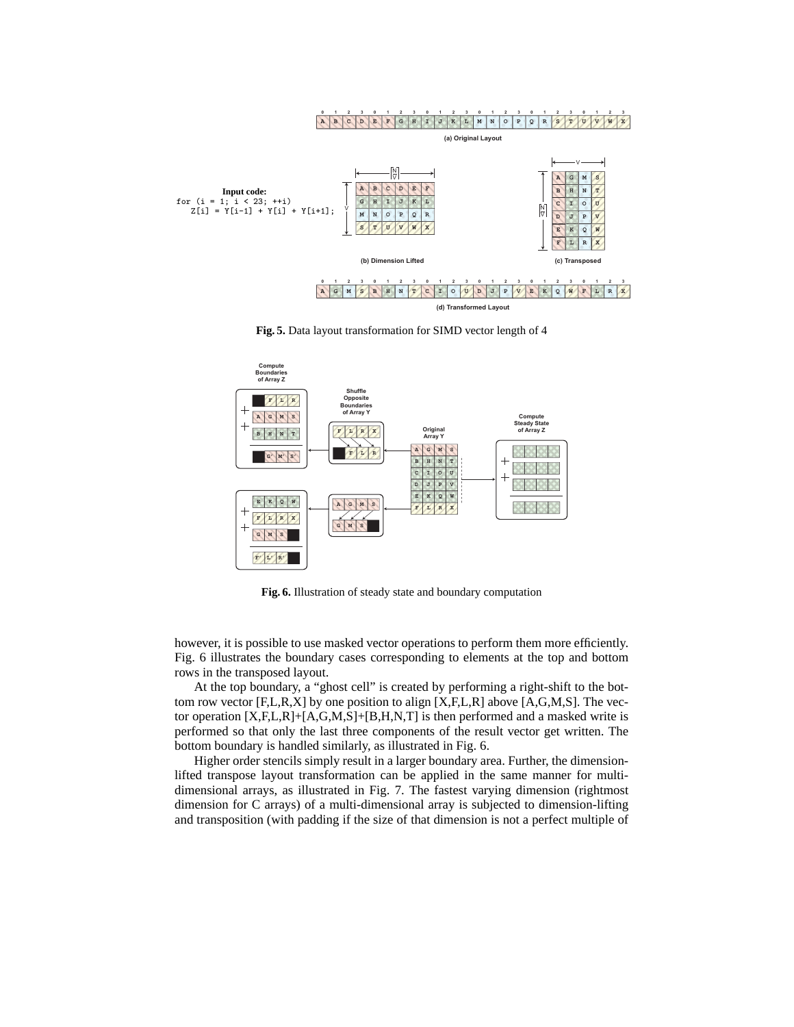

**(d) Transformed Layout**

**Fig. 5.** Data layout transformation for SIMD vector length of 4



**Fig. 6.** Illustration of steady state and boundary computation

however, it is possible to use masked vector operations to perform them more efficiently. Fig. 6 illustrates the boundary cases corresponding to elements at the top and bottom rows in the transposed layout.

At the top boundary, a "ghost cell" is created by performing a right-shift to the bottom row vector [F,L,R,X] by one position to align [X,F,L,R] above [A,G,M,S]. The vector operation  $[X, F, L, R] + [A, G, M, S] + [B, H, N, T]$  is then performed and a masked write is performed so that only the last three components of the result vector get written. The bottom boundary is handled similarly, as illustrated in Fig. 6.

Higher order stencils simply result in a larger boundary area. Further, the dimensionlifted transpose layout transformation can be applied in the same manner for multidimensional arrays, as illustrated in Fig. 7. The fastest varying dimension (rightmost dimension for C arrays) of a multi-dimensional array is subjected to dimension-lifting and transposition (with padding if the size of that dimension is not a perfect multiple of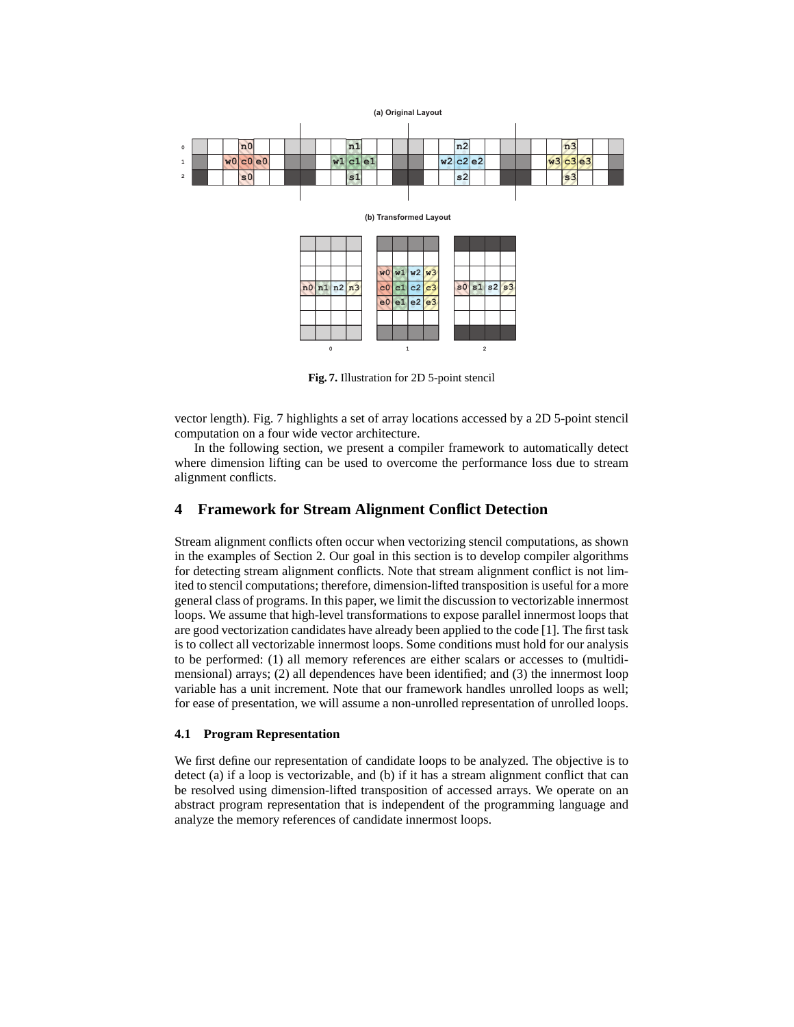

**Fig. 7.** Illustration for 2D 5-point stencil

vector length). Fig. 7 highlights a set of array locations accessed by a 2D 5-point stencil computation on a four wide vector architecture.

In the following section, we present a compiler framework to automatically detect where dimension lifting can be used to overcome the performance loss due to stream alignment conflicts.

# **4 Framework for Stream Alignment Conflict Detection**

Stream alignment conflicts often occur when vectorizing stencil computations, as shown in the examples of Section 2. Our goal in this section is to develop compiler algorithms for detecting stream alignment conflicts. Note that stream alignment conflict is not limited to stencil computations; therefore, dimension-lifted transposition is useful for a more general class of programs. In this paper, we limit the discussion to vectorizable innermost loops. We assume that high-level transformations to expose parallel innermost loops that are good vectorization candidates have already been applied to the code [1]. The first task is to collect all vectorizable innermost loops. Some conditions must hold for our analysis to be performed: (1) all memory references are either scalars or accesses to (multidimensional) arrays; (2) all dependences have been identified; and (3) the innermost loop variable has a unit increment. Note that our framework handles unrolled loops as well; for ease of presentation, we will assume a non-unrolled representation of unrolled loops.

## **4.1 Program Representation**

We first define our representation of candidate loops to be analyzed. The objective is to detect (a) if a loop is vectorizable, and (b) if it has a stream alignment conflict that can be resolved using dimension-lifted transposition of accessed arrays. We operate on an abstract program representation that is independent of the programming language and analyze the memory references of candidate innermost loops.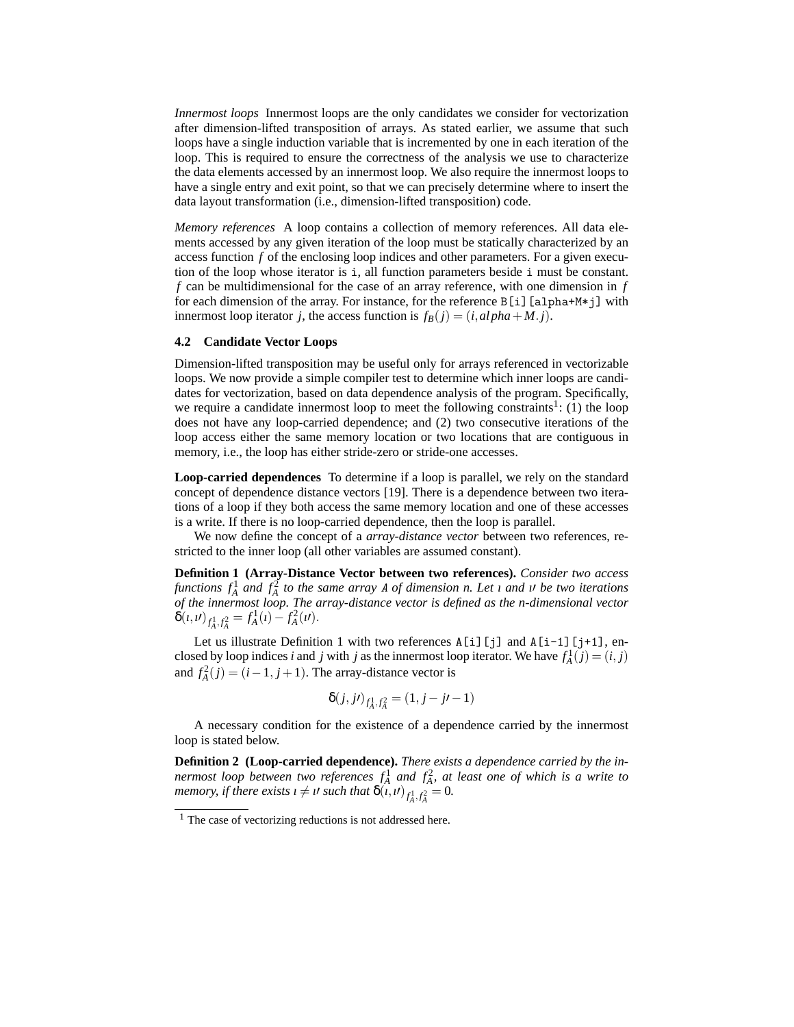*Innermost loops* Innermost loops are the only candidates we consider for vectorization after dimension-lifted transposition of arrays. As stated earlier, we assume that such loops have a single induction variable that is incremented by one in each iteration of the loop. This is required to ensure the correctness of the analysis we use to characterize the data elements accessed by an innermost loop. We also require the innermost loops to have a single entry and exit point, so that we can precisely determine where to insert the data layout transformation (i.e., dimension-lifted transposition) code.

*Memory references* A loop contains a collection of memory references. All data elements accessed by any given iteration of the loop must be statically characterized by an access function *f* of the enclosing loop indices and other parameters. For a given execution of the loop whose iterator is i, all function parameters beside i must be constant. *f* can be multidimensional for the case of an array reference, with one dimension in *f* for each dimension of the array. For instance, for the reference  $B[i]$  [alpha+M\*j] with innermost loop iterator *j*, the access function is  $f_B(j) = (i, a1pha + M, j)$ .

## **4.2 Candidate Vector Loops**

Dimension-lifted transposition may be useful only for arrays referenced in vectorizable loops. We now provide a simple compiler test to determine which inner loops are candidates for vectorization, based on data dependence analysis of the program. Specifically, we require a candidate innermost loop to meet the following constraints<sup>1</sup>: (1) the loop does not have any loop-carried dependence; and (2) two consecutive iterations of the loop access either the same memory location or two locations that are contiguous in memory, i.e., the loop has either stride-zero or stride-one accesses.

**Loop-carried dependences** To determine if a loop is parallel, we rely on the standard concept of dependence distance vectors [19]. There is a dependence between two iterations of a loop if they both access the same memory location and one of these accesses is a write. If there is no loop-carried dependence, then the loop is parallel.

We now define the concept of a *array-distance vector* between two references, restricted to the inner loop (all other variables are assumed constant).

**Definition 1 (Array-Distance Vector between two references).** *Consider two access functions*  $f_A^1$  and  $f_A^2$  to the same array A of dimension n. Let *i* and *i*<sup> $\prime$ </sup> be two iterations *of the innermost loop. The array-distance vector is defined as the n-dimensional vector*  $\delta(t, t')_{f_A^1, f_A^2} = f_A^1(t) - f_A^2(t').$ 

Let us illustrate Definition 1 with two references A[i][j] and A[i-1][j+1], enclosed by loop indices *i* and *j* with *j* as the innermost loop iterator. We have  $f_A^1(j) = (i, j)$ and  $f_A^2(j) = (i - 1, j + 1)$ . The array-distance vector is

$$
\delta(j, j\prime)_{f_A^1, f_A^2} = (1, j - j\prime - 1)
$$

A necessary condition for the existence of a dependence carried by the innermost loop is stated below.

**Definition 2 (Loop-carried dependence).** *There exists a dependence carried by the innermost loop between two references*  $f_A^1$  and  $f_A^2$ , at least one of which is a write to *memory, if there exists*  $\iota \neq \iota$ *<sup><i>t*</sup> such that  $\delta(\iota, \iota')_{f_A^1, f_A^2} = 0$ .

<sup>&</sup>lt;sup>1</sup> The case of vectorizing reductions is not addressed here.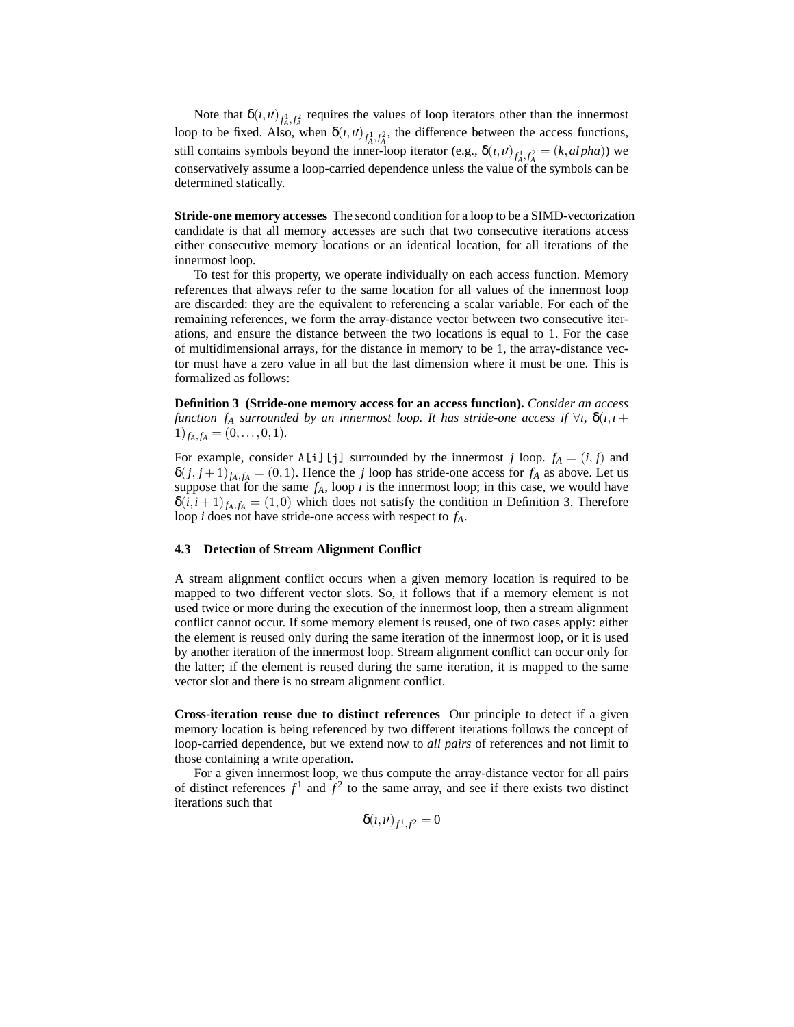Note that  $\delta(t, t)$   $f_A^1, f_A^2$  requires the values of loop iterators other than the innermost loop to be fixed. Also, when  $\delta(t, t')_{f_A^1, f_A^2}$ , the difference between the access functions, still contains symbols beyond the inner-loop iterator (e.g.,  $\delta(t, t')$   $f_A^1, f_A^2 = (k, \frac{aI}{bA})$ ) we conservatively assume a loop-carried dependence unless the value of the symbols can be determined statically.

**Stride-one memory accesses** The second condition for a loop to be a SIMD-vectorization candidate is that all memory accesses are such that two consecutive iterations access either consecutive memory locations or an identical location, for all iterations of the innermost loop.

To test for this property, we operate individually on each access function. Memory references that always refer to the same location for all values of the innermost loop are discarded: they are the equivalent to referencing a scalar variable. For each of the remaining references, we form the array-distance vector between two consecutive iterations, and ensure the distance between the two locations is equal to 1. For the case of multidimensional arrays, for the distance in memory to be 1, the array-distance vector must have a zero value in all but the last dimension where it must be one. This is formalized as follows:

**Definition 3 (Stride-one memory access for an access function).** *Consider an access function f<sub>A</sub> surrounded by an innermost loop. It has stride-one access if*  $\forall$ *i*,  $\delta$ (*i*,*i* +  $1)_{f_A, f_A} = (0, \ldots, 0, 1).$ 

For example, consider A[i][j] surrounded by the innermost *j* loop.  $f_A = (i, j)$  and  $\delta(j, j+1)_{f_A, f_A} = (0, 1)$ . Hence the *j* loop has stride-one access for  $f_A$  as above. Let us suppose that for the same  $f_A$ , loop  $i$  is the innermost loop; in this case, we would have  $\delta(i, i+1)_{f_A, f_A} = (1,0)$  which does not satisfy the condition in Definition 3. Therefore loop *i* does not have stride-one access with respect to *fA*.

#### **4.3 Detection of Stream Alignment Conflict**

A stream alignment conflict occurs when a given memory location is required to be mapped to two different vector slots. So, it follows that if a memory element is not used twice or more during the execution of the innermost loop, then a stream alignment conflict cannot occur. If some memory element is reused, one of two cases apply: either the element is reused only during the same iteration of the innermost loop, or it is used by another iteration of the innermost loop. Stream alignment conflict can occur only for the latter; if the element is reused during the same iteration, it is mapped to the same vector slot and there is no stream alignment conflict.

**Cross-iteration reuse due to distinct references** Our principle to detect if a given memory location is being referenced by two different iterations follows the concept of loop-carried dependence, but we extend now to *all pairs* of references and not limit to those containing a write operation.

For a given innermost loop, we thus compute the array-distance vector for all pairs of distinct references  $f^1$  and  $f^2$  to the same array, and see if there exists two distinct iterations such that

$$
\delta(\iota,\iota\prime)_{f^1,f^2}=0
$$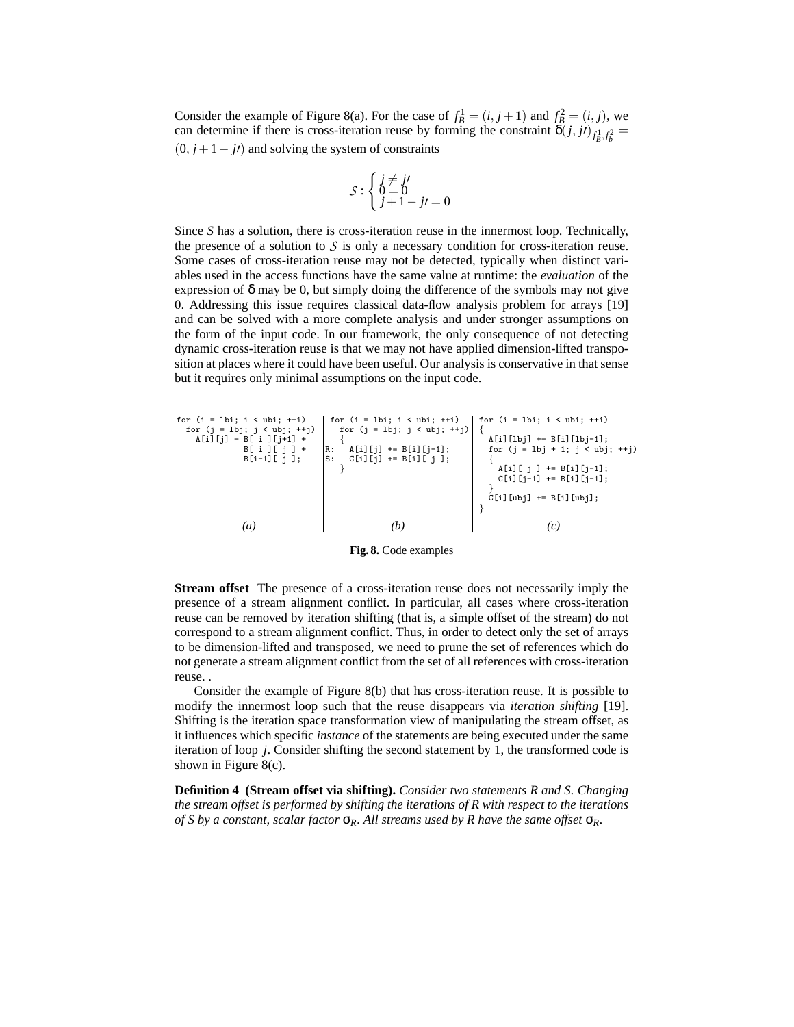Consider the example of Figure 8(a). For the case of  $f_B^1 = (i, j + 1)$  and  $f_B^2 = (i, j)$ , we can determine if there is cross-iteration reuse by forming the constraint  $\delta(j, j')_{f_B^1, f_B^2} =$  $(0, j + 1 - j)$  and solving the system of constraints

$$
S: \begin{cases} j \neq j' \\ 0 = 0 \\ j + 1 - j' = 0 \end{cases}
$$

Since *S* has a solution, there is cross-iteration reuse in the innermost loop. Technically, the presence of a solution to  $\mathcal S$  is only a necessary condition for cross-iteration reuse. Some cases of cross-iteration reuse may not be detected, typically when distinct variables used in the access functions have the same value at runtime: the *evaluation* of the expression of  $\delta$  may be 0, but simply doing the difference of the symbols may not give 0. Addressing this issue requires classical data-flow analysis problem for arrays [19] and can be solved with a more complete analysis and under stronger assumptions on the form of the input code. In our framework, the only consequence of not detecting dynamic cross-iteration reuse is that we may not have applied dimension-lifted transposition at places where it could have been useful. Our analysis is conservative in that sense but it requires only minimal assumptions on the input code.



**Fig. 8.** Code examples

**Stream offset** The presence of a cross-iteration reuse does not necessarily imply the presence of a stream alignment conflict. In particular, all cases where cross-iteration reuse can be removed by iteration shifting (that is, a simple offset of the stream) do not correspond to a stream alignment conflict. Thus, in order to detect only the set of arrays to be dimension-lifted and transposed, we need to prune the set of references which do not generate a stream alignment conflict from the set of all references with cross-iteration reuse. .

Consider the example of Figure 8(b) that has cross-iteration reuse. It is possible to modify the innermost loop such that the reuse disappears via *iteration shifting* [19]. Shifting is the iteration space transformation view of manipulating the stream offset, as it influences which specific *instance* of the statements are being executed under the same iteration of loop *j*. Consider shifting the second statement by 1, the transformed code is shown in Figure 8(c).

**Definition 4 (Stream offset via shifting).** *Consider two statements R and S. Changing the stream offset is performed by shifting the iterations of R with respect to the iterations of S by a constant, scalar factor* σ*R. All streams used by R have the same offset* σ*R.*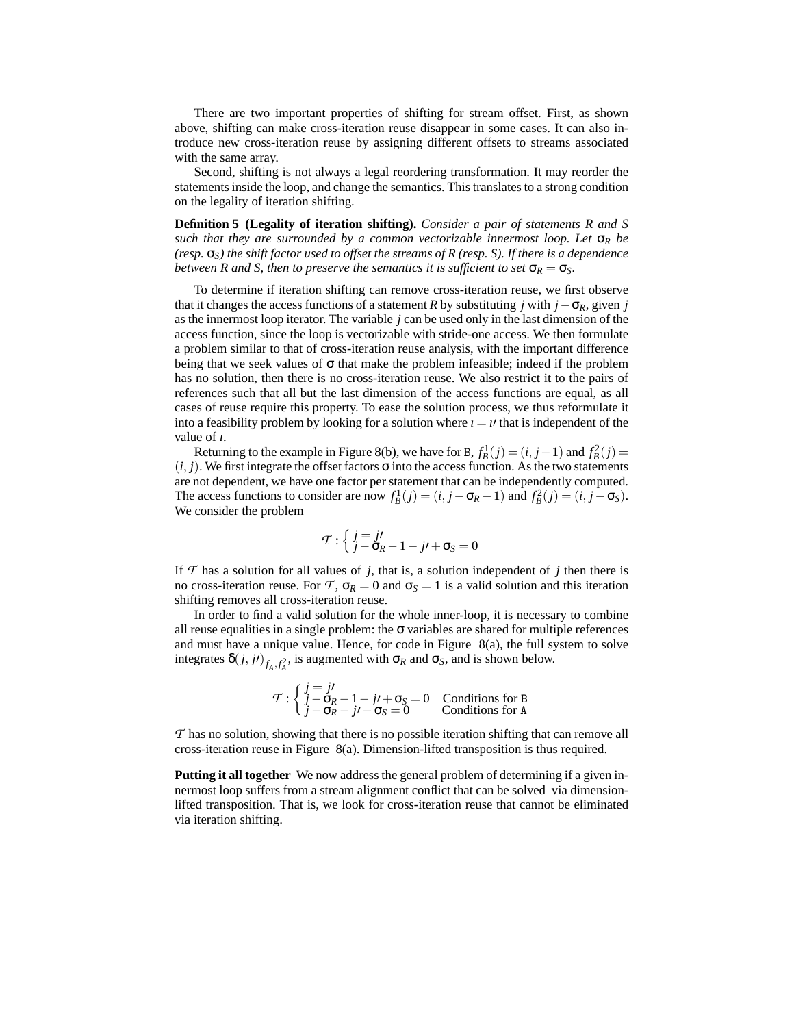There are two important properties of shifting for stream offset. First, as shown above, shifting can make cross-iteration reuse disappear in some cases. It can also introduce new cross-iteration reuse by assigning different offsets to streams associated with the same array.

Second, shifting is not always a legal reordering transformation. It may reorder the statements inside the loop, and change the semantics. This translates to a strong condition on the legality of iteration shifting.

**Definition 5 (Legality of iteration shifting).** *Consider a pair of statements R and S such that they are surrounded by a common vectorizable innermost loop. Let*  $\sigma_R$  *be (resp.* σ*S) the shift factor used to offset the streams of R (resp. S). If there is a dependence between R and S, then to preserve the semantics it is sufficient to set*  $\sigma_R = \sigma_S$ *.* 

To determine if iteration shifting can remove cross-iteration reuse, we first observe that it changes the access functions of a statement *R* by substituting *j* with  $j - \sigma_R$ , given *j* as the innermost loop iterator. The variable *j* can be used only in the last dimension of the access function, since the loop is vectorizable with stride-one access. We then formulate a problem similar to that of cross-iteration reuse analysis, with the important difference being that we seek values of  $\sigma$  that make the problem infeasible; indeed if the problem has no solution, then there is no cross-iteration reuse. We also restrict it to the pairs of references such that all but the last dimension of the access functions are equal, as all cases of reuse require this property. To ease the solution process, we thus reformulate it into a feasibility problem by looking for a solution where  $i = i$  that is independent of the value of *ı*.

Returning to the example in Figure 8(b), we have for B,  $f_B^1(j) = (i, j - 1)$  and  $f_B^2(j) =$  $(i, j)$ . We first integrate the offset factors  $\sigma$  into the access function. As the two statements are not dependent, we have one factor per statement that can be independently computed. The access functions to consider are now  $f_B^1(j) = (i, j - \sigma_R - 1)$  and  $f_B^2(j) = (i, j - \sigma_S)$ . We consider the problem

$$
\mathcal{T}: \left\{ \begin{array}{l} j=j\prime \\ j-\sigma_R-1-j\prime+\sigma_S=0 \end{array} \right.
$$

If  $T$  has a solution for all values of  $j$ , that is, a solution independent of  $j$  then there is no cross-iteration reuse. For *T*,  $\sigma_R = 0$  and  $\sigma_S = 1$  is a valid solution and this iteration shifting removes all cross-iteration reuse.

In order to find a valid solution for the whole inner-loop, it is necessary to combine all reuse equalities in a single problem: the  $\sigma$  variables are shared for multiple references and must have a unique value. Hence, for code in Figure 8(a), the full system to solve integrates  $\delta(j, j')_{f_A^1, f_A^2}$ , is augmented with  $\sigma_R$  and  $\sigma_S$ , and is shown below.

$$
\mathcal{T}: \begin{cases} j=j\prime \\ j-\sigma_R-1-j\prime+\sigma_S=0 \\ j-\sigma_R-j\prime-\sigma_S=0 \end{cases}
$$
 Conditions for B  
Conditions for A

*T* has no solution, showing that there is no possible iteration shifting that can remove all cross-iteration reuse in Figure 8(a). Dimension-lifted transposition is thus required.

**Putting it all together** We now address the general problem of determining if a given innermost loop suffers from a stream alignment conflict that can be solved via dimensionlifted transposition. That is, we look for cross-iteration reuse that cannot be eliminated via iteration shifting.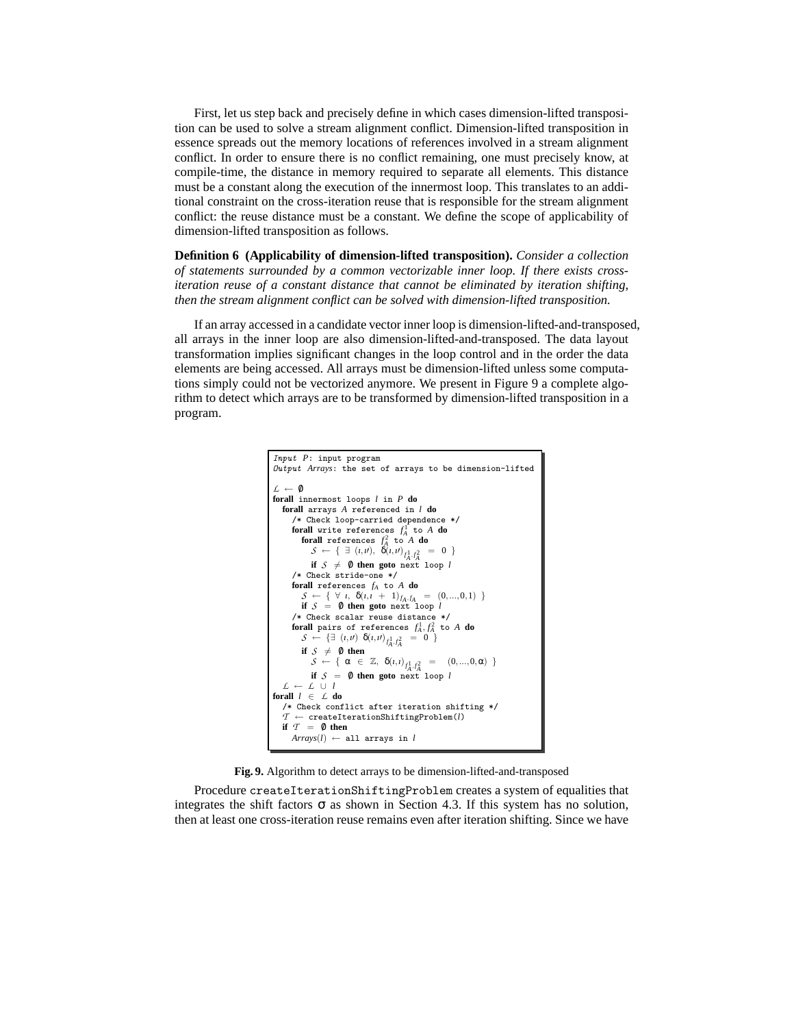First, let us step back and precisely define in which cases dimension-lifted transposition can be used to solve a stream alignment conflict. Dimension-lifted transposition in essence spreads out the memory locations of references involved in a stream alignment conflict. In order to ensure there is no conflict remaining, one must precisely know, at compile-time, the distance in memory required to separate all elements. This distance must be a constant along the execution of the innermost loop. This translates to an additional constraint on the cross-iteration reuse that is responsible for the stream alignment conflict: the reuse distance must be a constant. We define the scope of applicability of dimension-lifted transposition as follows.

**Definition 6 (Applicability of dimension-lifted transposition).** *Consider a collection of statements surrounded by a common vectorizable inner loop. If there exists crossiteration reuse of a constant distance that cannot be eliminated by iteration shifting, then the stream alignment conflict can be solved with dimension-lifted transposition.*

If an array accessed in a candidate vector inner loop is dimension-lifted-and-transposed, all arrays in the inner loop are also dimension-lifted-and-transposed. The data layout transformation implies significant changes in the loop control and in the order the data elements are being accessed. All arrays must be dimension-lifted unless some computations simply could not be vectorized anymore. We present in Figure 9 a complete algorithm to detect which arrays are to be transformed by dimension-lifted transposition in a program.

```
Input P: input program
Output Arrays: the set of arrays to be dimension-lifted
L ← 0/
forall innermost loops l in P do
   forall arrays A referenced in l do
       /* Check loop-carried dependence */
       {\bf f} orall write references f_A^{\rm I} to A {\bf d}forall references f_A^2 to A do<br>
S \leftarrow \{ \exists (t, u), \delta(t, u)_{f_A^1, f_A^2} = 0 \}if S \neq \emptyset then goto next loop l
       /* Check stride-one */
      forall references fA to A do
           S \leftarrow \{ \forall i, \delta(i, i + 1)_{f_A, f_A} = (0, ..., 0, 1) \}<br>
if S = \emptyset then goto next loop l
       /* Check scalar reuse distance */
       forall pairs of references f_A^1, f_A^2 to A do<br>
S \leftarrow \{\exists (l, l') \delta(l, l')_{f_A^1, f_A^2} = 0 \}\begin{array}{rcl} \textbf{if} \enspace \mathcal{S} \enspace \neq \enspace \emptyset \enspace \textbf{then} \end{array}S \leftarrow \{ \alpha \in \mathbb{Z}, \delta(t, t)_{f_A^1, f_A^2} = (0, ..., 0, \alpha) \}if S = \emptyset then goto next loop l
   L ← L ∪ l
forall l ∈ L do
   /* Check conflict after iteration shifting */
   \mathcal{T} \gets \mathtt{createIterationShiftingProblem} (l)if T = 0 then
      Arrays(l) \leftarrow \text{all arrays in } l
```
**Fig. 9.** Algorithm to detect arrays to be dimension-lifted-and-transposed

Procedure createIterationShiftingProblem creates a system of equalities that integrates the shift factors  $\sigma$  as shown in Section 4.3. If this system has no solution, then at least one cross-iteration reuse remains even after iteration shifting. Since we have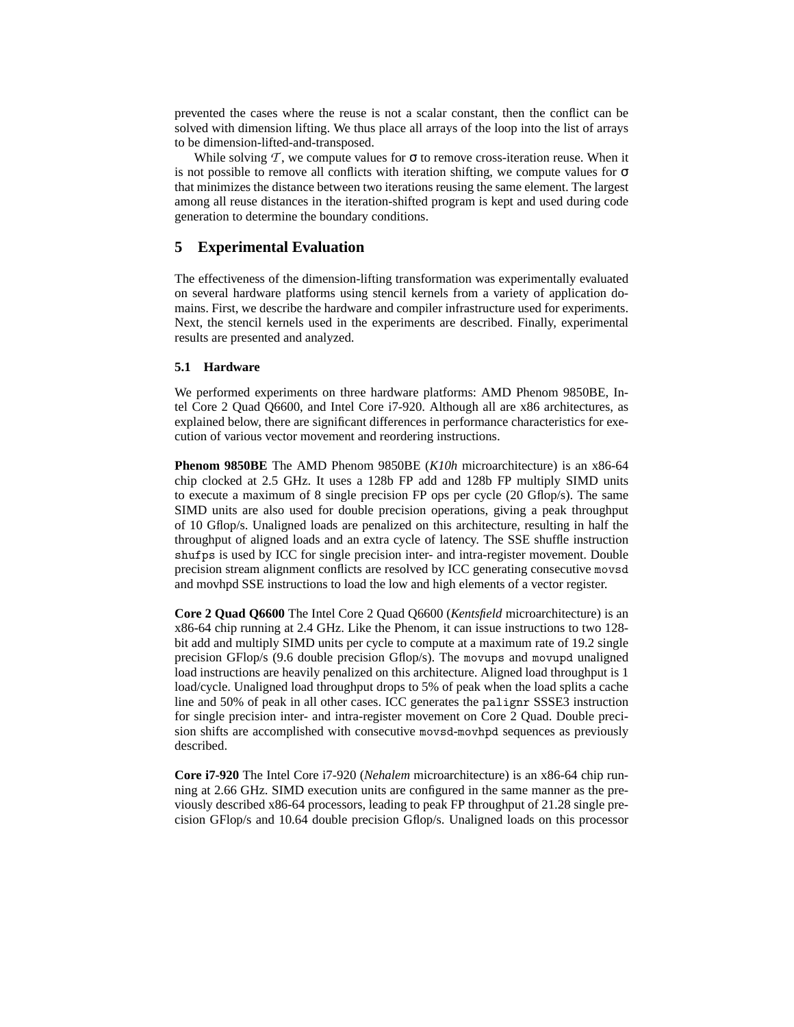prevented the cases where the reuse is not a scalar constant, then the conflict can be solved with dimension lifting. We thus place all arrays of the loop into the list of arrays to be dimension-lifted-and-transposed.

While solving  $\mathcal T$ , we compute values for  $\sigma$  to remove cross-iteration reuse. When it is not possible to remove all conflicts with iteration shifting, we compute values for  $\sigma$ that minimizes the distance between two iterations reusing the same element. The largest among all reuse distances in the iteration-shifted program is kept and used during code generation to determine the boundary conditions.

# **5 Experimental Evaluation**

The effectiveness of the dimension-lifting transformation was experimentally evaluated on several hardware platforms using stencil kernels from a variety of application domains. First, we describe the hardware and compiler infrastructure used for experiments. Next, the stencil kernels used in the experiments are described. Finally, experimental results are presented and analyzed.

## **5.1 Hardware**

We performed experiments on three hardware platforms: AMD Phenom 9850BE, Intel Core 2 Quad Q6600, and Intel Core i7-920. Although all are x86 architectures, as explained below, there are significant differences in performance characteristics for execution of various vector movement and reordering instructions.

**Phenom 9850BE** The AMD Phenom 9850BE (*K10h* microarchitecture) is an x86-64 chip clocked at 2.5 GHz. It uses a 128b FP add and 128b FP multiply SIMD units to execute a maximum of 8 single precision FP ops per cycle (20 Gflop/s). The same SIMD units are also used for double precision operations, giving a peak throughput of 10 Gflop/s. Unaligned loads are penalized on this architecture, resulting in half the throughput of aligned loads and an extra cycle of latency. The SSE shuffle instruction shufps is used by ICC for single precision inter- and intra-register movement. Double precision stream alignment conflicts are resolved by ICC generating consecutive movsd and movhpd SSE instructions to load the low and high elements of a vector register.

**Core 2 Quad Q6600** The Intel Core 2 Quad Q6600 (*Kentsfield* microarchitecture) is an x86-64 chip running at 2.4 GHz. Like the Phenom, it can issue instructions to two 128 bit add and multiply SIMD units per cycle to compute at a maximum rate of 19.2 single precision GFlop/s (9.6 double precision Gflop/s). The movups and movupd unaligned load instructions are heavily penalized on this architecture. Aligned load throughput is 1 load/cycle. Unaligned load throughput drops to 5% of peak when the load splits a cache line and 50% of peak in all other cases. ICC generates the palignr SSSE3 instruction for single precision inter- and intra-register movement on Core 2 Quad. Double precision shifts are accomplished with consecutive movsd-movhpd sequences as previously described.

**Core i7-920** The Intel Core i7-920 (*Nehalem* microarchitecture) is an x86-64 chip running at 2.66 GHz. SIMD execution units are configured in the same manner as the previously described x86-64 processors, leading to peak FP throughput of 21.28 single precision GFlop/s and 10.64 double precision Gflop/s. Unaligned loads on this processor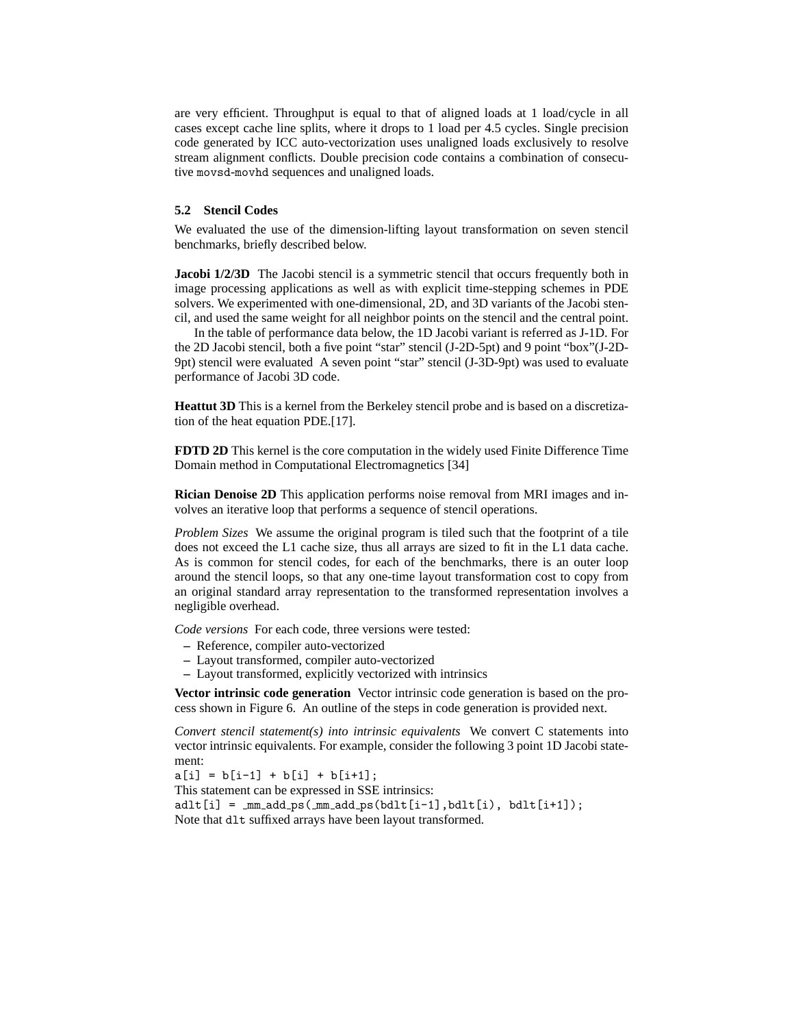are very efficient. Throughput is equal to that of aligned loads at 1 load/cycle in all cases except cache line splits, where it drops to 1 load per 4.5 cycles. Single precision code generated by ICC auto-vectorization uses unaligned loads exclusively to resolve stream alignment conflicts. Double precision code contains a combination of consecutive movsd-movhd sequences and unaligned loads.

## **5.2 Stencil Codes**

We evaluated the use of the dimension-lifting layout transformation on seven stencil benchmarks, briefly described below.

**Jacobi 1/2/3D** The Jacobi stencil is a symmetric stencil that occurs frequently both in image processing applications as well as with explicit time-stepping schemes in PDE solvers. We experimented with one-dimensional, 2D, and 3D variants of the Jacobi stencil, and used the same weight for all neighbor points on the stencil and the central point.

In the table of performance data below, the 1D Jacobi variant is referred as J-1D. For the 2D Jacobi stencil, both a five point "star" stencil (J-2D-5pt) and 9 point "box"(J-2D-9pt) stencil were evaluated A seven point "star" stencil (J-3D-9pt) was used to evaluate performance of Jacobi 3D code.

**Heattut 3D** This is a kernel from the Berkeley stencil probe and is based on a discretization of the heat equation PDE.[17].

**FDTD 2D** This kernel is the core computation in the widely used Finite Difference Time Domain method in Computational Electromagnetics [34]

**Rician Denoise 2D** This application performs noise removal from MRI images and involves an iterative loop that performs a sequence of stencil operations.

*Problem Sizes* We assume the original program is tiled such that the footprint of a tile does not exceed the L1 cache size, thus all arrays are sized to fit in the L1 data cache. As is common for stencil codes, for each of the benchmarks, there is an outer loop around the stencil loops, so that any one-time layout transformation cost to copy from an original standard array representation to the transformed representation involves a negligible overhead.

*Code versions* For each code, three versions were tested:

- **–** Reference, compiler auto-vectorized
- **–** Layout transformed, compiler auto-vectorized
- **–** Layout transformed, explicitly vectorized with intrinsics

**Vector intrinsic code generation** Vector intrinsic code generation is based on the process shown in Figure 6. An outline of the steps in code generation is provided next.

*Convert stencil statement(s) into intrinsic equivalents* We convert C statements into vector intrinsic equivalents. For example, consider the following 3 point 1D Jacobi statement:

 $a[i] = b[i-1] + b[i] + b[i+1];$ This statement can be expressed in SSE intrinsics:  $adlt[i] = mm\_add_ps(mm\_add_ps(bdlt[i-1],bdlt[i]), bdlt[i+1]);$ Note that dlt suffixed arrays have been layout transformed.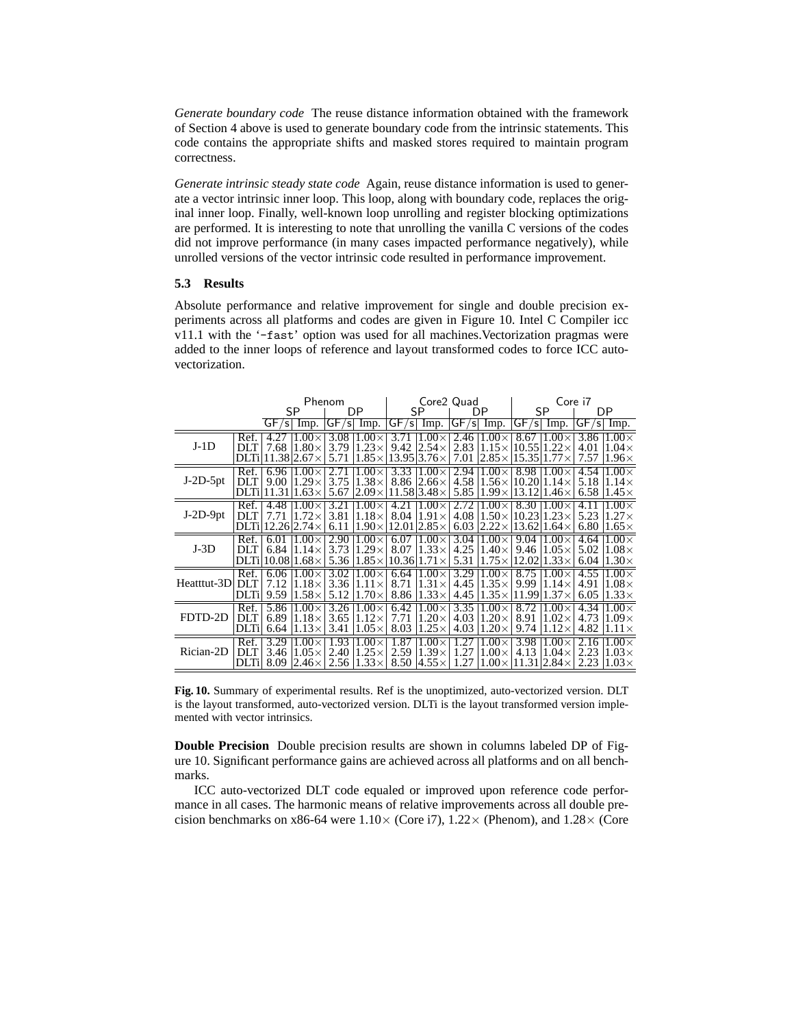*Generate boundary code* The reuse distance information obtained with the framework of Section 4 above is used to generate boundary code from the intrinsic statements. This code contains the appropriate shifts and masked stores required to maintain program correctness.

*Generate intrinsic steady state code* Again, reuse distance information is used to generate a vector intrinsic inner loop. This loop, along with boundary code, replaces the original inner loop. Finally, well-known loop unrolling and register blocking optimizations are performed. It is interesting to note that unrolling the vanilla C versions of the codes did not improve performance (in many cases impacted performance negatively), while unrolled versions of the vector intrinsic code resulted in performance improvement.

## **5.3 Results**

Absolute performance and relative improvement for single and double precision experiments across all platforms and codes are given in Figure 10. Intel C Compiler icc v11.1 with the '-fast' option was used for all machines.Vectorization pragmas were added to the inner loops of reference and layout transformed codes to force ICC autovectorization.

|             |             | Phenom |                                           |              | Core <sub>2</sub> Quad         |      |                                                                   |      | Core i7                                                                                    |             |                       |              |                                   |
|-------------|-------------|--------|-------------------------------------------|--------------|--------------------------------|------|-------------------------------------------------------------------|------|--------------------------------------------------------------------------------------------|-------------|-----------------------|--------------|-----------------------------------|
|             |             |        | SP<br>DP.                                 |              | SP                             |      | DΡ                                                                |      | SP                                                                                         |             | DΡ                    |              |                                   |
|             |             | GF/sl  | lmp.                                      | GF/s         | lmp.                           | GF/s | lmp.                                                              |      | $GF/s$ $Imp.$                                                                              | $GF/s$ Imp. |                       | GF/s         | lmp.                              |
|             | Ref.        | 4.27   | $1.00\times$                              | 3.08         | $1.00\times$                   | 3.71 | $1.00\times$                                                      |      | 2.46 $ 1.00 \times 8.67 1.00 \times$                                                       |             |                       | 3.86         | $1.00\times$                      |
| $J-1D$      | DLT<br>DLTi |        | 7.68 $ 1.80\times $<br>$11.38 2.67\times$ | 3.79<br>5.71 | $1.23\times$                   |      | 9.42 $ 2.54 \times $<br>$1.85 \times 13.95  3.76 \times$          | 7.01 | 2.83 $ 1.15\times 10.55 1.22\times $<br>$ 2.85\times 15.35 1.77\times $                    |             |                       | 4.01<br>7.57 | $1.04\times$<br>$1.96\times$      |
|             |             |        |                                           |              |                                |      |                                                                   |      |                                                                                            |             |                       |              |                                   |
| $J-2D-5pt$  | Ref.<br>DLT | 6.96   | $1.00\times$<br>9.00 $1.29\times$         | 2.71         | $1.00\times$                   |      | 3.33 $11.00\times$<br>$3.75$  1.38 $\times$   8.86  2.66 $\times$ |      | $2.94$ 1.00 $\times$ 1 8.98 11.00 $\times$ 1<br>$4.58$  1.56 $\times$  10.20 1.14 $\times$ |             |                       | 4.54         | $1.00\times$<br>5.18 $1.14\times$ |
|             | DI Ti       | 11.31  | $1.63\times$                              | 5.67         |                                |      | $2.09\times 11.58$ 3.48 $\times$                                  |      | $5.85$  1.99 $\times$  13.12 1.46 $\times$                                                 |             |                       | 6.58         | $1.45\times$                      |
|             | Ref.        | 4.48   | $1.00\times$                              | 3.21         | $1.00\times$                   | 4.21 | $1.00\times$                                                      | 2.72 | $1.00\times$                                                                               |             | $8.30$ 11.00 $\times$ | 4.11         | $1.00\times$                      |
| $J-2D-9pt$  | DLT         | 7.71   | $1.72\times$                              | 3.81         |                                |      | $1.18\times18.04$ $1.91\times1$                                   |      | $4.08$  1.50 $\times$  10.23 1.23 $\times$                                                 |             |                       | 5.23         | $1.27\times$                      |
|             | DLTil       |        | $12.26 2.74\times$                        | 6.11         |                                |      | $ 1.90\times 12.01 2.85\times $                                   | 6.03 | $ 2.22 \times  13.62 1.64 \times  $                                                        |             |                       | 6.80         | $1.65\times$                      |
|             | Ref.        | 6.01   | $1.00\times$                              | 2.90         | $1.00\times$                   | 6.07 | $1.00\times$                                                      | 3.04 | $1.00\times$                                                                               | 9.04        | $1.00\times$          | 4.64         | $1.00\times$                      |
| $J-3D$      | DLT.        |        | 6.84 $ 1.14 \times$                       | 3.73         |                                |      | $ 1.29\times $ 8.07 $ 1.33\times $                                |      | 4.25 $ 1.40\times $                                                                        |             | 9.46 $ 1.05 \times $  | 5.02         | $1.08\times$                      |
|             | DLTil       |        | $10.0811.68\times$                        | 5.36         | $ 1.85\times 10.36 1.71\times$ |      |                                                                   | 5.31 | $ 1.75\times 12.02 1.33\times $                                                            |             |                       | 6.04         | $1.30\times$                      |
|             | Ref.        | 6.06   | $1.00\times$                              | 3.02         | $1.00\times$                   | 6.64 | $1.00\times$                                                      | 3.29 | $1.00\times$                                                                               | 8.75        | $1.00\times$          | 4.55         | $1.00\times$                      |
| Heatttut-3D | <b>DLT</b>  | 7.12   | $1.18\times$                              | 3.36         | $1.11\times$                   | 8.71 | $ 1.31 \times $                                                   |      | 4.45 $ 1.35 \times $                                                                       |             | $9.99$  1.14 $\times$ | 4.91         | $1.08\times$                      |
|             | DLTi        | 9.59   | $1.58\times$                              | 5.12         | $1.70\times$                   | 8.86 | $ 1.33\times $                                                    |      | $4.45$  1.35 $\times$  11.99 1.37 $\times$                                                 |             |                       | 6.05         | $1.33\times$                      |
| FDTD-2D     | Ref.        | 5.86   | $1.00\times$                              |              | 3.26 $ 1.00\times $            | 6.42 | $1.00\times$                                                      |      | 3.35 $11.00\times$                                                                         | 8.72        | $1.00\times$          | 4.34         | $1.00\times$                      |
|             | DLT         | 6.89   | $1.18\times$                              | 3.65         | $1.12\times$                   | 7.71 | $1.20\times$                                                      | 4.03 | $1.20\times$                                                                               | 8.91        | $1.02\times$          | 4.73         | $1.09\times$                      |
|             | DLTi        | 6.64   | $1.13\times$                              | 3.41         | $1.05\times$                   | 8.03 | $1.25\times$                                                      |      | 4.03   $1.20 \times$                                                                       | 9.74        | $1.12\times$          | 4.82         | $1.11\times$                      |
| Rician-2D   | Ref.        | 3.29   | $1.00\times$                              | 1.93         | $1.00\times$                   | 1.87 | $1.00\times$                                                      | 1.27 | $1.00\times$                                                                               |             | 3.98 $ 1.00 \times $  | 2.16         | $1.00\times$                      |
|             | DLT         | 3.46   | $1.05\times$                              | 2.40         | $1.25\times$                   |      | 2.59 $ 1.39 \times $                                              | 1.27 | $ 1.00\times $                                                                             |             | 4.13 $ 1.04 \times $  | 2.23         | $1.03\times$                      |
|             | DLTi        | 8.09   | $2.46\times$                              | 2.56         | $1.33 \times$                  | 8.50 | $ 4.55\times $                                                    | 1.27 | $ 1.00\times 11.31 2.84\times $                                                            |             |                       | 2.23         | $1.03\times$                      |

**Fig. 10.** Summary of experimental results. Ref is the unoptimized, auto-vectorized version. DLT is the layout transformed, auto-vectorized version. DLTi is the layout transformed version implemented with vector intrinsics.

**Double Precision** Double precision results are shown in columns labeled DP of Figure 10. Significant performance gains are achieved across all platforms and on all benchmarks.

ICC auto-vectorized DLT code equaled or improved upon reference code performance in all cases. The harmonic means of relative improvements across all double precision benchmarks on x86-64 were  $1.10 \times$  (Core i7),  $1.22 \times$  (Phenom), and  $1.28 \times$  (Core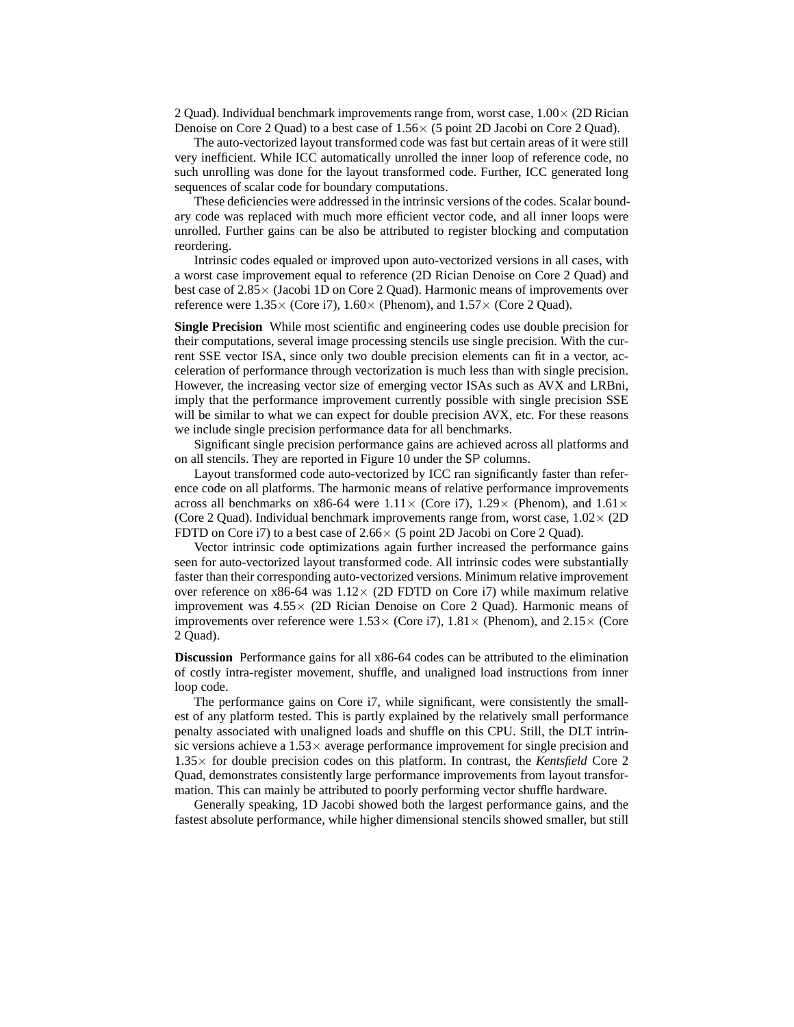2 Quad). Individual benchmark improvements range from, worst case,  $1.00 \times$  (2D Rician Denoise on Core 2 Quad) to a best case of 1.56× (5 point 2D Jacobi on Core 2 Quad).

The auto-vectorized layout transformed code was fast but certain areas of it were still very inefficient. While ICC automatically unrolled the inner loop of reference code, no such unrolling was done for the layout transformed code. Further, ICC generated long sequences of scalar code for boundary computations.

These deficiencies were addressed in the intrinsic versions of the codes. Scalar boundary code was replaced with much more efficient vector code, and all inner loops were unrolled. Further gains can be also be attributed to register blocking and computation reordering.

Intrinsic codes equaled or improved upon auto-vectorized versions in all cases, with a worst case improvement equal to reference (2D Rician Denoise on Core 2 Quad) and best case of 2.85× (Jacobi 1D on Core 2 Quad). Harmonic means of improvements over reference were  $1.35 \times$  (Core i7),  $1.60 \times$  (Phenom), and  $1.57 \times$  (Core 2 Quad).

**Single Precision** While most scientific and engineering codes use double precision for their computations, several image processing stencils use single precision. With the current SSE vector ISA, since only two double precision elements can fit in a vector, acceleration of performance through vectorization is much less than with single precision. However, the increasing vector size of emerging vector ISAs such as AVX and LRBni, imply that the performance improvement currently possible with single precision SSE will be similar to what we can expect for double precision AVX, etc. For these reasons we include single precision performance data for all benchmarks.

Significant single precision performance gains are achieved across all platforms and on all stencils. They are reported in Figure 10 under the SP columns.

Layout transformed code auto-vectorized by ICC ran significantly faster than reference code on all platforms. The harmonic means of relative performance improvements across all benchmarks on x86-64 were 1.11 $\times$  (Core i7), 1.29 $\times$  (Phenom), and 1.61 $\times$ (Core 2 Quad). Individual benchmark improvements range from, worst case,  $1.02 \times (2D)$ FDTD on Core i7) to a best case of 2.66 $\times$  (5 point 2D Jacobi on Core 2 Quad).

Vector intrinsic code optimizations again further increased the performance gains seen for auto-vectorized layout transformed code. All intrinsic codes were substantially faster than their corresponding auto-vectorized versions. Minimum relative improvement over reference on x86-64 was  $1.12 \times (2D$  FDTD on Core i7) while maximum relative improvement was  $4.55 \times (2D)$  Rician Denoise on Core 2 Quad). Harmonic means of improvements over reference were  $1.53 \times$  (Core i7),  $1.81 \times$  (Phenom), and  $2.15 \times$  (Core 2 Quad).

**Discussion** Performance gains for all x86-64 codes can be attributed to the elimination of costly intra-register movement, shuffle, and unaligned load instructions from inner loop code.

The performance gains on Core i7, while significant, were consistently the smallest of any platform tested. This is partly explained by the relatively small performance penalty associated with unaligned loads and shuffle on this CPU. Still, the DLT intrinsic versions achieve a  $1.53\times$  average performance improvement for single precision and 1.35× for double precision codes on this platform. In contrast, the *Kentsfield* Core 2 Quad, demonstrates consistently large performance improvements from layout transformation. This can mainly be attributed to poorly performing vector shuffle hardware.

Generally speaking, 1D Jacobi showed both the largest performance gains, and the fastest absolute performance, while higher dimensional stencils showed smaller, but still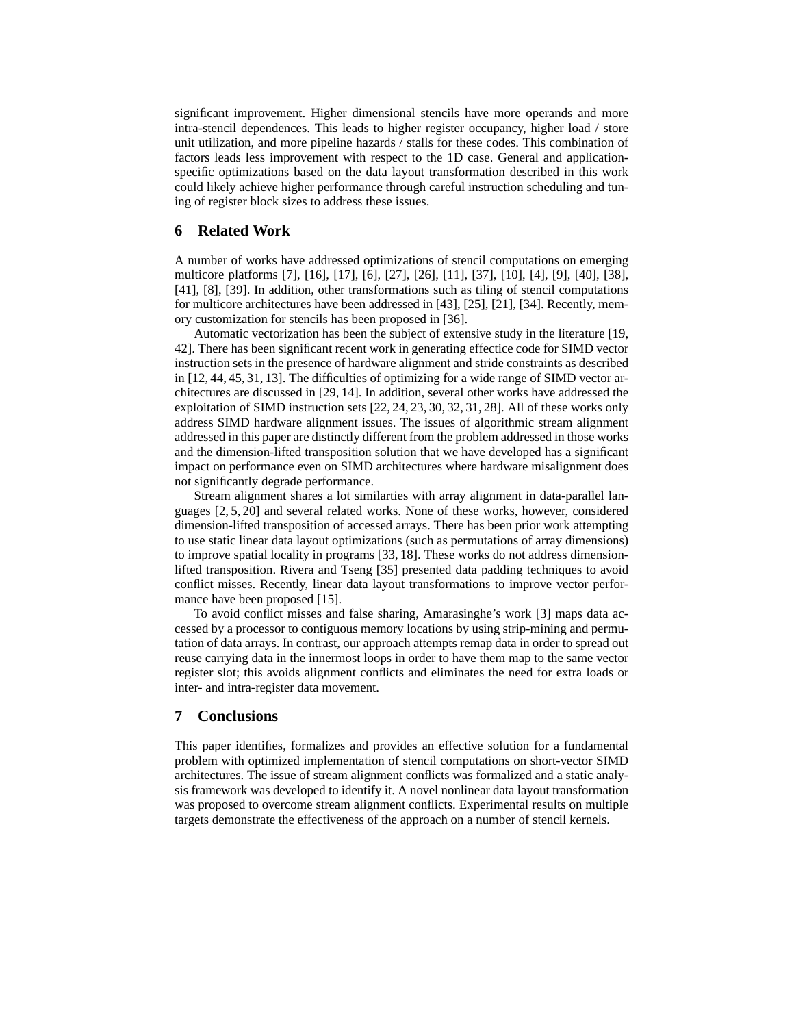significant improvement. Higher dimensional stencils have more operands and more intra-stencil dependences. This leads to higher register occupancy, higher load / store unit utilization, and more pipeline hazards / stalls for these codes. This combination of factors leads less improvement with respect to the 1D case. General and applicationspecific optimizations based on the data layout transformation described in this work could likely achieve higher performance through careful instruction scheduling and tuning of register block sizes to address these issues.

# **6 Related Work**

A number of works have addressed optimizations of stencil computations on emerging multicore platforms [7], [16], [17], [6], [27], [26], [11], [37], [10], [4], [9], [40], [38], [41], [8], [39]. In addition, other transformations such as tiling of stencil computations for multicore architectures have been addressed in [43], [25], [21], [34]. Recently, memory customization for stencils has been proposed in [36].

Automatic vectorization has been the subject of extensive study in the literature [19, 42]. There has been significant recent work in generating effectice code for SIMD vector instruction sets in the presence of hardware alignment and stride constraints as described in [12, 44, 45, 31, 13]. The difficulties of optimizing for a wide range of SIMD vector architectures are discussed in [29, 14]. In addition, several other works have addressed the exploitation of SIMD instruction sets [22, 24, 23, 30, 32, 31, 28]. All of these works only address SIMD hardware alignment issues. The issues of algorithmic stream alignment addressed in this paper are distinctly different from the problem addressed in those works and the dimension-lifted transposition solution that we have developed has a significant impact on performance even on SIMD architectures where hardware misalignment does not significantly degrade performance.

Stream alignment shares a lot similarties with array alignment in data-parallel languages [2, 5, 20] and several related works. None of these works, however, considered dimension-lifted transposition of accessed arrays. There has been prior work attempting to use static linear data layout optimizations (such as permutations of array dimensions) to improve spatial locality in programs [33, 18]. These works do not address dimensionlifted transposition. Rivera and Tseng [35] presented data padding techniques to avoid conflict misses. Recently, linear data layout transformations to improve vector performance have been proposed [15].

To avoid conflict misses and false sharing, Amarasinghe's work [3] maps data accessed by a processor to contiguous memory locations by using strip-mining and permutation of data arrays. In contrast, our approach attempts remap data in order to spread out reuse carrying data in the innermost loops in order to have them map to the same vector register slot; this avoids alignment conflicts and eliminates the need for extra loads or inter- and intra-register data movement.

# **7 Conclusions**

This paper identifies, formalizes and provides an effective solution for a fundamental problem with optimized implementation of stencil computations on short-vector SIMD architectures. The issue of stream alignment conflicts was formalized and a static analysis framework was developed to identify it. A novel nonlinear data layout transformation was proposed to overcome stream alignment conflicts. Experimental results on multiple targets demonstrate the effectiveness of the approach on a number of stencil kernels.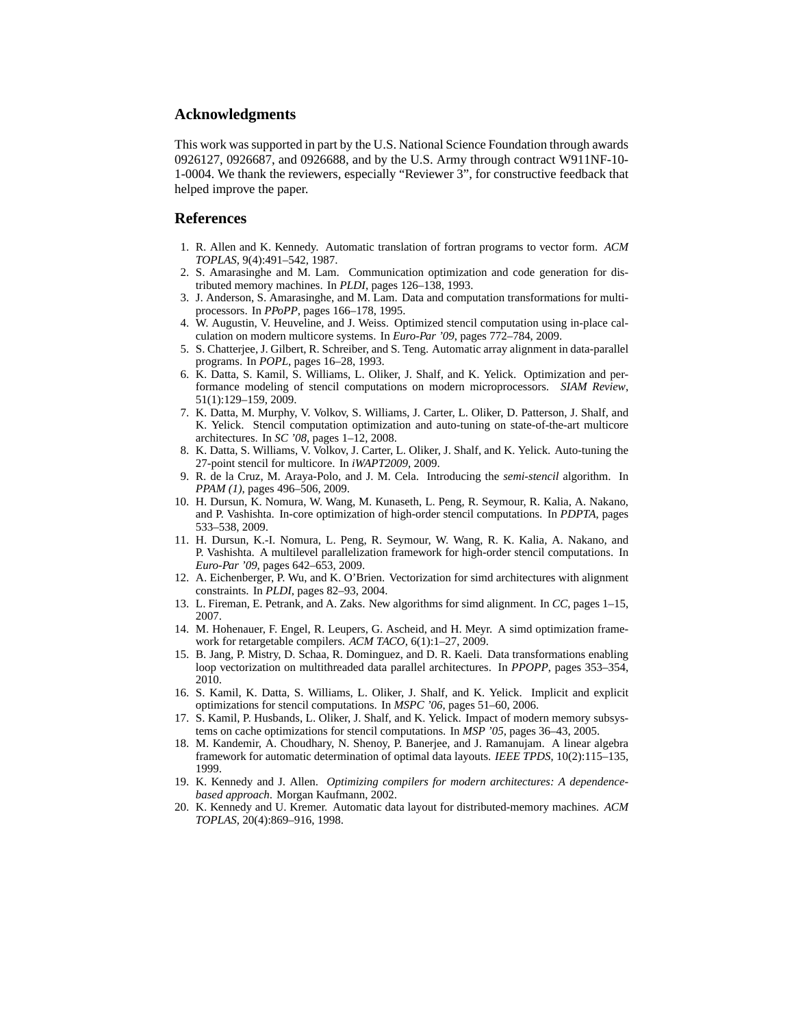# **Acknowledgments**

This work was supported in part by the U.S. National Science Foundation through awards 0926127, 0926687, and 0926688, and by the U.S. Army through contract W911NF-10- 1-0004. We thank the reviewers, especially "Reviewer 3", for constructive feedback that helped improve the paper.

#### **References**

- 1. R. Allen and K. Kennedy. Automatic translation of fortran programs to vector form. *ACM TOPLAS*, 9(4):491–542, 1987.
- 2. S. Amarasinghe and M. Lam. Communication optimization and code generation for distributed memory machines. In *PLDI*, pages 126–138, 1993.
- 3. J. Anderson, S. Amarasinghe, and M. Lam. Data and computation transformations for multiprocessors. In *PPoPP*, pages 166–178, 1995.
- 4. W. Augustin, V. Heuveline, and J. Weiss. Optimized stencil computation using in-place calculation on modern multicore systems. In *Euro-Par '09*, pages 772–784, 2009.
- 5. S. Chatterjee, J. Gilbert, R. Schreiber, and S. Teng. Automatic array alignment in data-parallel programs. In *POPL*, pages 16–28, 1993.
- 6. K. Datta, S. Kamil, S. Williams, L. Oliker, J. Shalf, and K. Yelick. Optimization and performance modeling of stencil computations on modern microprocessors. *SIAM Review*, 51(1):129–159, 2009.
- 7. K. Datta, M. Murphy, V. Volkov, S. Williams, J. Carter, L. Oliker, D. Patterson, J. Shalf, and K. Yelick. Stencil computation optimization and auto-tuning on state-of-the-art multicore architectures. In *SC '08*, pages 1–12, 2008.
- 8. K. Datta, S. Williams, V. Volkov, J. Carter, L. Oliker, J. Shalf, and K. Yelick. Auto-tuning the 27-point stencil for multicore. In *iWAPT2009*, 2009.
- 9. R. de la Cruz, M. Araya-Polo, and J. M. Cela. Introducing the *semi-stencil* algorithm. In *PPAM (1)*, pages 496–506, 2009.
- 10. H. Dursun, K. Nomura, W. Wang, M. Kunaseth, L. Peng, R. Seymour, R. Kalia, A. Nakano, and P. Vashishta. In-core optimization of high-order stencil computations. In *PDPTA*, pages 533–538, 2009.
- 11. H. Dursun, K.-I. Nomura, L. Peng, R. Seymour, W. Wang, R. K. Kalia, A. Nakano, and P. Vashishta. A multilevel parallelization framework for high-order stencil computations. In *Euro-Par '09*, pages 642–653, 2009.
- 12. A. Eichenberger, P. Wu, and K. O'Brien. Vectorization for simd architectures with alignment constraints. In *PLDI*, pages 82–93, 2004.
- 13. L. Fireman, E. Petrank, and A. Zaks. New algorithms for simd alignment. In *CC*, pages 1–15, 2007.
- 14. M. Hohenauer, F. Engel, R. Leupers, G. Ascheid, and H. Meyr. A simd optimization framework for retargetable compilers. *ACM TACO*, 6(1):1–27, 2009.
- 15. B. Jang, P. Mistry, D. Schaa, R. Dominguez, and D. R. Kaeli. Data transformations enabling loop vectorization on multithreaded data parallel architectures. In *PPOPP*, pages 353–354, 2010.
- 16. S. Kamil, K. Datta, S. Williams, L. Oliker, J. Shalf, and K. Yelick. Implicit and explicit optimizations for stencil computations. In *MSPC '06*, pages 51–60, 2006.
- 17. S. Kamil, P. Husbands, L. Oliker, J. Shalf, and K. Yelick. Impact of modern memory subsystems on cache optimizations for stencil computations. In *MSP '05*, pages 36–43, 2005.
- 18. M. Kandemir, A. Choudhary, N. Shenoy, P. Banerjee, and J. Ramanujam. A linear algebra framework for automatic determination of optimal data layouts. *IEEE TPDS*, 10(2):115–135, 1999.
- 19. K. Kennedy and J. Allen. *Optimizing compilers for modern architectures: A dependencebased approach*. Morgan Kaufmann, 2002.
- 20. K. Kennedy and U. Kremer. Automatic data layout for distributed-memory machines. *ACM TOPLAS*, 20(4):869–916, 1998.